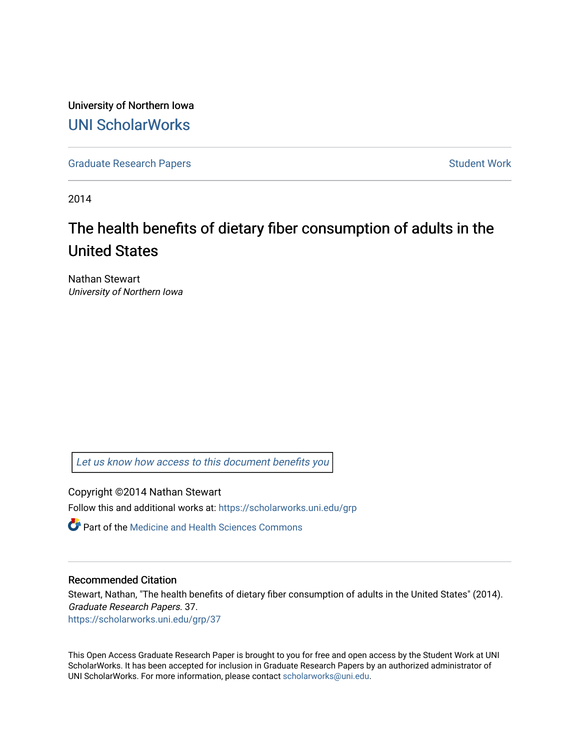University of Northern Iowa [UNI ScholarWorks](https://scholarworks.uni.edu/) 

[Graduate Research Papers](https://scholarworks.uni.edu/grp) **Student Work** Student Work

2014

# The health benefits of dietary fiber consumption of adults in the United States

Nathan Stewart University of Northern Iowa

[Let us know how access to this document benefits you](https://scholarworks.uni.edu/feedback_form.html) 

Copyright ©2014 Nathan Stewart

Follow this and additional works at: [https://scholarworks.uni.edu/grp](https://scholarworks.uni.edu/grp?utm_source=scholarworks.uni.edu%2Fgrp%2F37&utm_medium=PDF&utm_campaign=PDFCoverPages) 

**C** Part of the Medicine and Health Sciences Commons

# Recommended Citation

Stewart, Nathan, "The health benefits of dietary fiber consumption of adults in the United States" (2014). Graduate Research Papers. 37. [https://scholarworks.uni.edu/grp/37](https://scholarworks.uni.edu/grp/37?utm_source=scholarworks.uni.edu%2Fgrp%2F37&utm_medium=PDF&utm_campaign=PDFCoverPages)

This Open Access Graduate Research Paper is brought to you for free and open access by the Student Work at UNI ScholarWorks. It has been accepted for inclusion in Graduate Research Papers by an authorized administrator of UNI ScholarWorks. For more information, please contact [scholarworks@uni.edu.](mailto:scholarworks@uni.edu)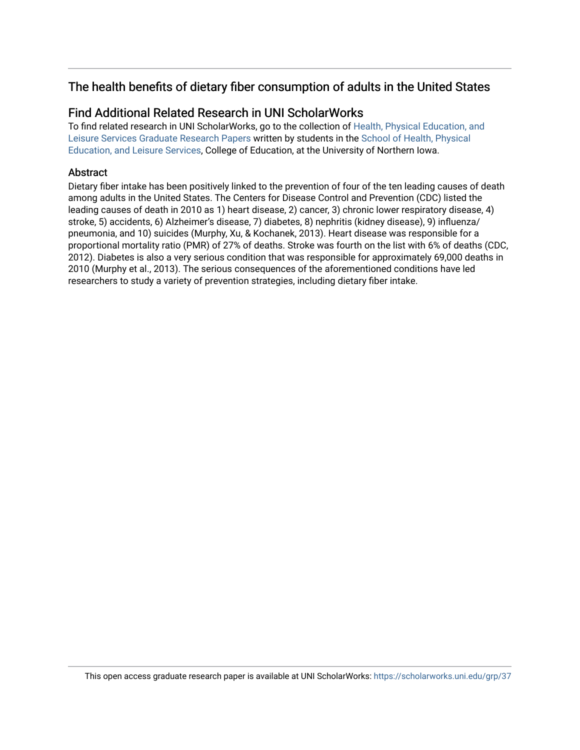# The health benefits of dietary fiber consumption of adults in the United States

# Find Additional Related Research in UNI ScholarWorks

To find related research in UNI ScholarWorks, go to the collection of [Health, Physical Education, and](http://scholarworks.uni.edu/hpels_grp/)  [Leisure Services Graduate Research Papers](http://scholarworks.uni.edu/hpels_grp/) written by students in the [School of Health, Physical](http://scholarworks.uni.edu/hpels/)  [Education, and Leisure Services](http://scholarworks.uni.edu/hpels/), College of Education, at the University of Northern Iowa.

# **Abstract**

Dietary fiber intake has been positively linked to the prevention of four of the ten leading causes of death among adults in the United States. The Centers for Disease Control and Prevention (CDC) listed the leading causes of death in 2010 as 1) heart disease, 2) cancer, 3) chronic lower respiratory disease, 4) stroke, 5) accidents, 6) Alzheimer's disease, 7) diabetes, 8) nephritis (kidney disease), 9) influenza/ pneumonia, and 10) suicides (Murphy, Xu, & Kochanek, 2013). Heart disease was responsible for a proportional mortality ratio (PMR) of 27% of deaths. Stroke was fourth on the list with 6% of deaths (CDC, 2012). Diabetes is also a very serious condition that was responsible for approximately 69,000 deaths in 2010 (Murphy et al., 2013). The serious consequences of the aforementioned conditions have led researchers to study a variety of prevention strategies, including dietary fiber intake.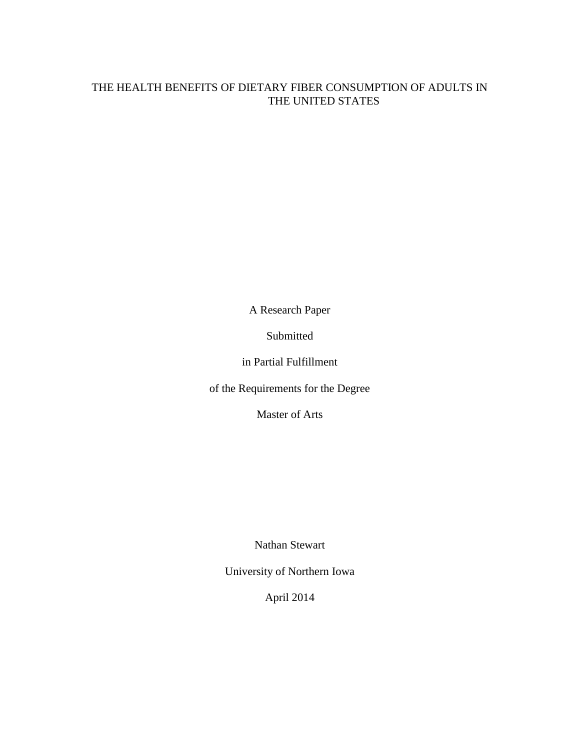# THE HEALTH BENEFITS OF DIETARY FIBER CONSUMPTION OF ADULTS IN THE UNITED STATES

A Research Paper

Submitted

in Partial Fulfillment

of the Requirements for the Degree

Master of Arts

Nathan Stewart

University of Northern Iowa

April 2014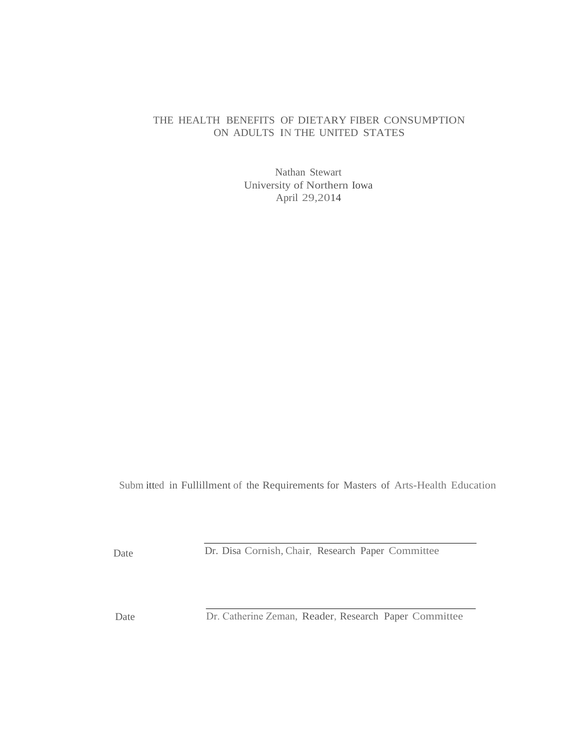# THE HEALTH BENEFITS OF DIETARY FIBER CONSUMPTION ON ADULTS IN THE UNITED STATES

Nathan Stewart University of Northern Iowa April 29,2014

Subm itted in Fullillment of the Requirements for Masters of Arts-Health Education

Date

Dr. Disa Cornish, Chair, Research Paper Committee

Date Dr. Catherine Zeman, Reader, Research Paper Committee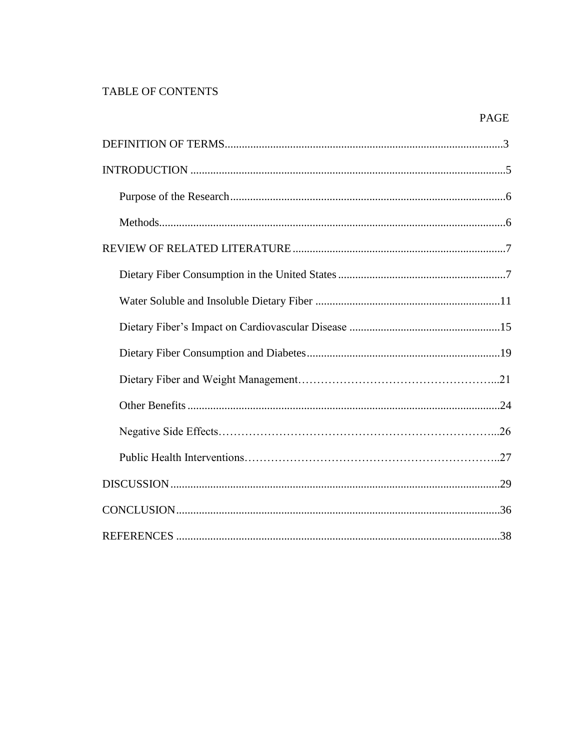# TABLE OF CONTENTS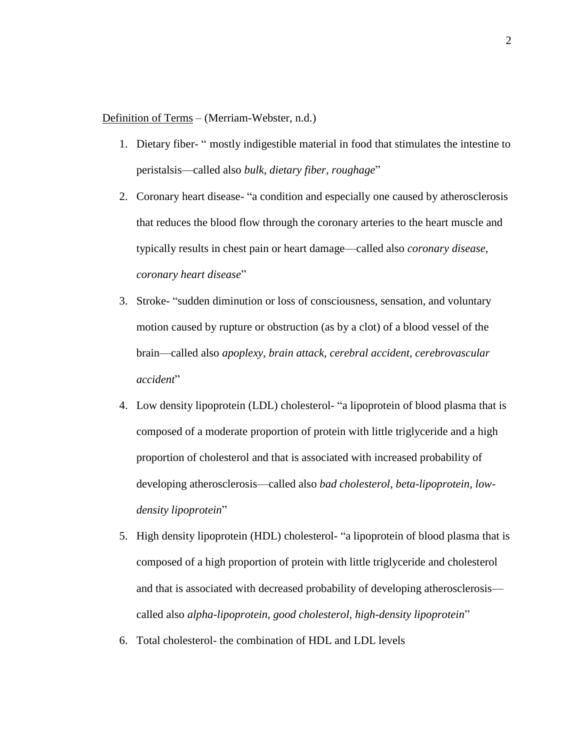### Definition of Terms – (Merriam-Webster, n.d.)

- 1. Dietary fiber- " mostly indigestible material in food that stimulates the intestine to peristalsis—called also *bulk, dietary fiber, roughage*"
- 2. Coronary heart disease- "a condition and especially one caused by atherosclerosis that reduces the blood flow through the coronary arteries to the heart muscle and typically results in chest pain or heart damage—called also *coronary disease, coronary heart disease*"
- 3. Stroke- "sudden diminution or loss of consciousness, sensation, and voluntary motion caused by rupture or obstruction (as by a clot) of a blood vessel of the brain—called also *apoplexy, brain attack, cerebral accident, cerebrovascular accident*"
- 4. Low density lipoprotein (LDL) cholesterol- "a lipoprotein of blood plasma that is composed of a moderate proportion of protein with little triglyceride and a high proportion of cholesterol and that is associated with increased probability of developing atherosclerosis—called also *bad cholesterol, beta-lipoprotein, lowdensity lipoprotein*"
- 5. High density lipoprotein (HDL) cholesterol- "a lipoprotein of blood plasma that is composed of a high proportion of protein with little triglyceride and cholesterol and that is associated with decreased probability of developing atherosclerosis called also *alpha-lipoprotein, good cholesterol, high-density lipoprotein*"
- 6. Total cholesterol- the combination of HDL and LDL levels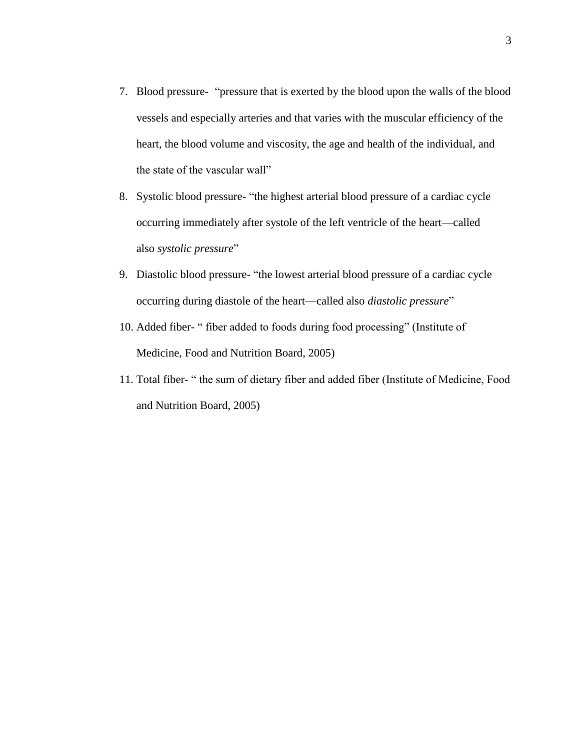- 7. Blood pressure- "pressure that is exerted by the blood upon the walls of the blood vessels and especially arteries and that varies with the muscular efficiency of the heart, the blood volume and viscosity, the age and health of the individual, and the state of the vascular wall"
- 8. Systolic blood pressure- "the highest arterial blood pressure of a cardiac cycle occurring immediately after systole of the left ventricle of the heart—called also *systolic pressure*"
- 9. Diastolic blood pressure- "the lowest arterial blood pressure of a cardiac cycle occurring during diastole of the heart—called also *diastolic pressure*"
- 10. Added fiber- " fiber added to foods during food processing" (Institute of Medicine, Food and Nutrition Board, 2005)
- 11. Total fiber- " the sum of dietary fiber and added fiber (Institute of Medicine, Food and Nutrition Board, 2005)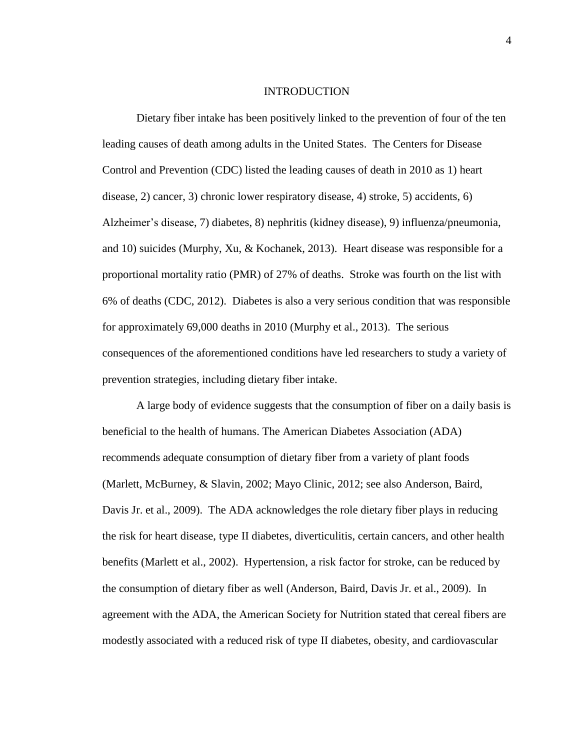#### INTRODUCTION

Dietary fiber intake has been positively linked to the prevention of four of the ten leading causes of death among adults in the United States. The Centers for Disease Control and Prevention (CDC) listed the leading causes of death in 2010 as 1) heart disease, 2) cancer, 3) chronic lower respiratory disease, 4) stroke, 5) accidents, 6) Alzheimer's disease, 7) diabetes, 8) nephritis (kidney disease), 9) influenza/pneumonia, and 10) suicides (Murphy, Xu, & Kochanek, 2013). Heart disease was responsible for a proportional mortality ratio (PMR) of 27% of deaths. Stroke was fourth on the list with 6% of deaths (CDC, 2012). Diabetes is also a very serious condition that was responsible for approximately 69,000 deaths in 2010 (Murphy et al., 2013). The serious consequences of the aforementioned conditions have led researchers to study a variety of prevention strategies, including dietary fiber intake.

A large body of evidence suggests that the consumption of fiber on a daily basis is beneficial to the health of humans. The American Diabetes Association (ADA) recommends adequate consumption of dietary fiber from a variety of plant foods (Marlett, McBurney, & Slavin, 2002; Mayo Clinic, 2012; see also Anderson, Baird, Davis Jr. et al., 2009). The ADA acknowledges the role dietary fiber plays in reducing the risk for heart disease, type II diabetes, diverticulitis, certain cancers, and other health benefits (Marlett et al., 2002). Hypertension, a risk factor for stroke, can be reduced by the consumption of dietary fiber as well (Anderson, Baird, Davis Jr. et al., 2009). In agreement with the ADA, the American Society for Nutrition stated that cereal fibers are modestly associated with a reduced risk of type II diabetes, obesity, and cardiovascular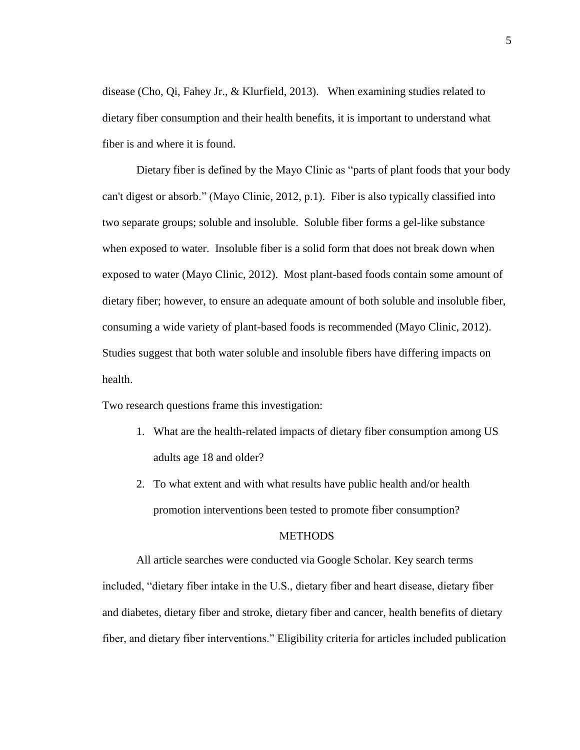disease (Cho, Qi, Fahey Jr., & Klurfield, 2013). When examining studies related to dietary fiber consumption and their health benefits, it is important to understand what fiber is and where it is found.

Dietary fiber is defined by the Mayo Clinic as "parts of plant foods that your body can't digest or absorb." (Mayo Clinic, 2012, p.1). Fiber is also typically classified into two separate groups; soluble and insoluble. Soluble fiber forms a gel-like substance when exposed to water. Insoluble fiber is a solid form that does not break down when exposed to water (Mayo Clinic, 2012). Most plant-based foods contain some amount of dietary fiber; however, to ensure an adequate amount of both soluble and insoluble fiber, consuming a wide variety of plant-based foods is recommended (Mayo Clinic, 2012). Studies suggest that both water soluble and insoluble fibers have differing impacts on health.

Two research questions frame this investigation:

- 1. What are the health-related impacts of dietary fiber consumption among US adults age 18 and older?
- 2. To what extent and with what results have public health and/or health promotion interventions been tested to promote fiber consumption?

# **METHODS**

All article searches were conducted via Google Scholar. Key search terms included, "dietary fiber intake in the U.S., dietary fiber and heart disease, dietary fiber and diabetes, dietary fiber and stroke, dietary fiber and cancer, health benefits of dietary fiber, and dietary fiber interventions." Eligibility criteria for articles included publication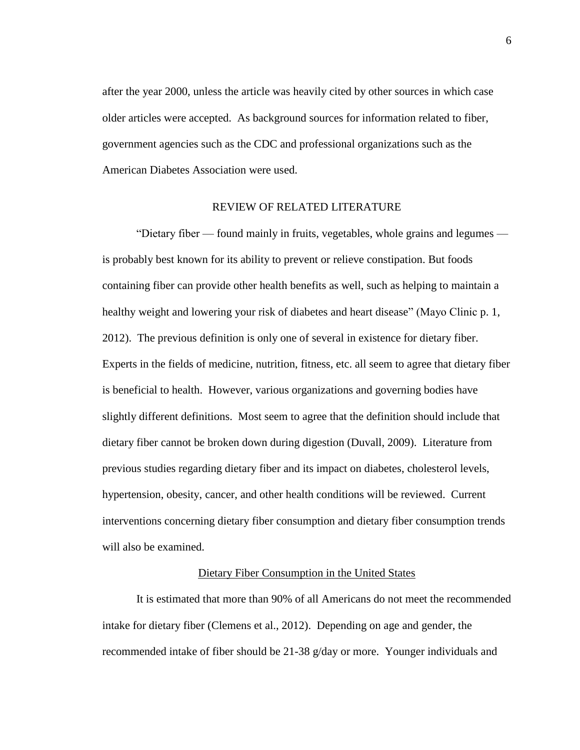after the year 2000, unless the article was heavily cited by other sources in which case older articles were accepted. As background sources for information related to fiber, government agencies such as the CDC and professional organizations such as the American Diabetes Association were used.

### REVIEW OF RELATED LITERATURE

"Dietary fiber — found mainly in fruits, vegetables, whole grains and legumes is probably best known for its ability to prevent or relieve constipation. But foods containing fiber can provide other health benefits as well, such as helping to maintain a healthy weight and lowering your risk of diabetes and heart disease" (Mayo Clinic p. 1, 2012). The previous definition is only one of several in existence for dietary fiber. Experts in the fields of medicine, nutrition, fitness, etc. all seem to agree that dietary fiber is beneficial to health. However, various organizations and governing bodies have slightly different definitions. Most seem to agree that the definition should include that dietary fiber cannot be broken down during digestion (Duvall, 2009). Literature from previous studies regarding dietary fiber and its impact on diabetes, cholesterol levels, hypertension, obesity, cancer, and other health conditions will be reviewed. Current interventions concerning dietary fiber consumption and dietary fiber consumption trends will also be examined.

# Dietary Fiber Consumption in the United States

It is estimated that more than 90% of all Americans do not meet the recommended intake for dietary fiber (Clemens et al., 2012). Depending on age and gender, the recommended intake of fiber should be 21-38 g/day or more. Younger individuals and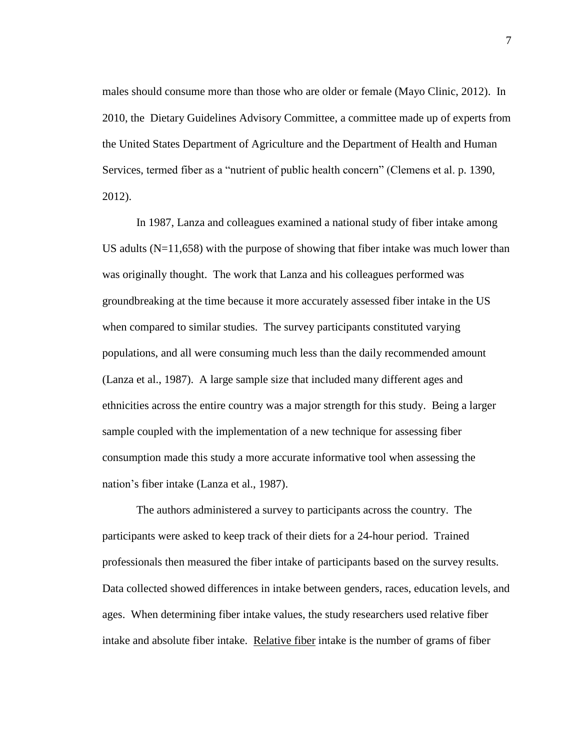males should consume more than those who are older or female (Mayo Clinic, 2012). In 2010, the Dietary Guidelines Advisory Committee, a committee made up of experts from the United States Department of Agriculture and the Department of Health and Human Services, termed fiber as a "nutrient of public health concern" (Clemens et al. p. 1390, 2012).

In 1987, Lanza and colleagues examined a national study of fiber intake among US adults  $(N=11,658)$  with the purpose of showing that fiber intake was much lower than was originally thought. The work that Lanza and his colleagues performed was groundbreaking at the time because it more accurately assessed fiber intake in the US when compared to similar studies. The survey participants constituted varying populations, and all were consuming much less than the daily recommended amount (Lanza et al., 1987). A large sample size that included many different ages and ethnicities across the entire country was a major strength for this study. Being a larger sample coupled with the implementation of a new technique for assessing fiber consumption made this study a more accurate informative tool when assessing the nation's fiber intake (Lanza et al., 1987).

The authors administered a survey to participants across the country. The participants were asked to keep track of their diets for a 24-hour period. Trained professionals then measured the fiber intake of participants based on the survey results. Data collected showed differences in intake between genders, races, education levels, and ages. When determining fiber intake values, the study researchers used relative fiber intake and absolute fiber intake. Relative fiber intake is the number of grams of fiber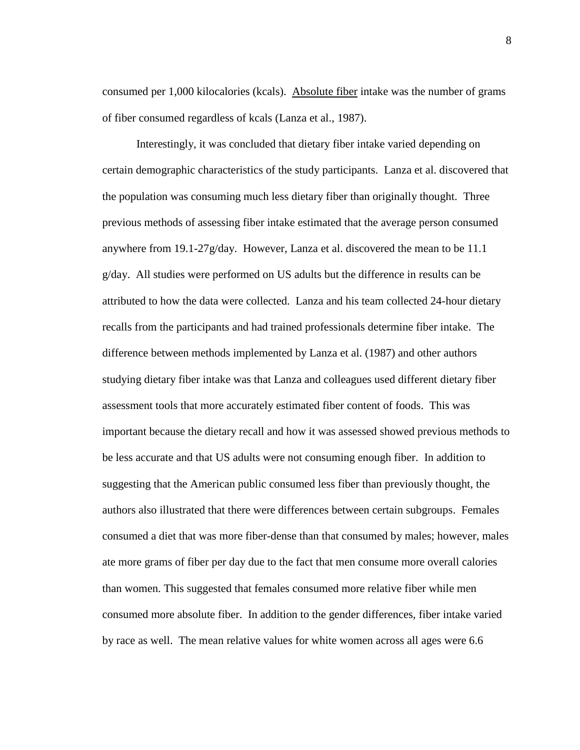consumed per 1,000 kilocalories (kcals). Absolute fiber intake was the number of grams of fiber consumed regardless of kcals (Lanza et al., 1987).

Interestingly, it was concluded that dietary fiber intake varied depending on certain demographic characteristics of the study participants. Lanza et al. discovered that the population was consuming much less dietary fiber than originally thought. Three previous methods of assessing fiber intake estimated that the average person consumed anywhere from 19.1-27g/day. However, Lanza et al. discovered the mean to be 11.1 g/day. All studies were performed on US adults but the difference in results can be attributed to how the data were collected. Lanza and his team collected 24-hour dietary recalls from the participants and had trained professionals determine fiber intake. The difference between methods implemented by Lanza et al. (1987) and other authors studying dietary fiber intake was that Lanza and colleagues used different dietary fiber assessment tools that more accurately estimated fiber content of foods. This was important because the dietary recall and how it was assessed showed previous methods to be less accurate and that US adults were not consuming enough fiber. In addition to suggesting that the American public consumed less fiber than previously thought, the authors also illustrated that there were differences between certain subgroups. Females consumed a diet that was more fiber-dense than that consumed by males; however, males ate more grams of fiber per day due to the fact that men consume more overall calories than women. This suggested that females consumed more relative fiber while men consumed more absolute fiber. In addition to the gender differences, fiber intake varied by race as well. The mean relative values for white women across all ages were 6.6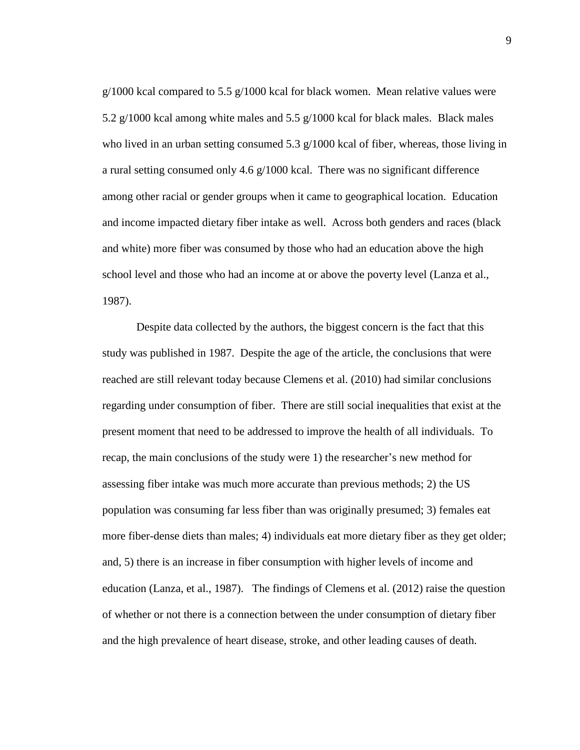$g/1000$  kcal compared to 5.5  $g/1000$  kcal for black women. Mean relative values were 5.2 g/1000 kcal among white males and 5.5 g/1000 kcal for black males. Black males who lived in an urban setting consumed 5.3  $g/1000$  kcal of fiber, whereas, those living in a rural setting consumed only 4.6 g/1000 kcal. There was no significant difference among other racial or gender groups when it came to geographical location. Education and income impacted dietary fiber intake as well. Across both genders and races (black and white) more fiber was consumed by those who had an education above the high school level and those who had an income at or above the poverty level (Lanza et al., 1987).

Despite data collected by the authors, the biggest concern is the fact that this study was published in 1987. Despite the age of the article, the conclusions that were reached are still relevant today because Clemens et al. (2010) had similar conclusions regarding under consumption of fiber. There are still social inequalities that exist at the present moment that need to be addressed to improve the health of all individuals. To recap, the main conclusions of the study were 1) the researcher's new method for assessing fiber intake was much more accurate than previous methods; 2) the US population was consuming far less fiber than was originally presumed; 3) females eat more fiber-dense diets than males; 4) individuals eat more dietary fiber as they get older; and, 5) there is an increase in fiber consumption with higher levels of income and education (Lanza, et al., 1987). The findings of Clemens et al. (2012) raise the question of whether or not there is a connection between the under consumption of dietary fiber and the high prevalence of heart disease, stroke, and other leading causes of death.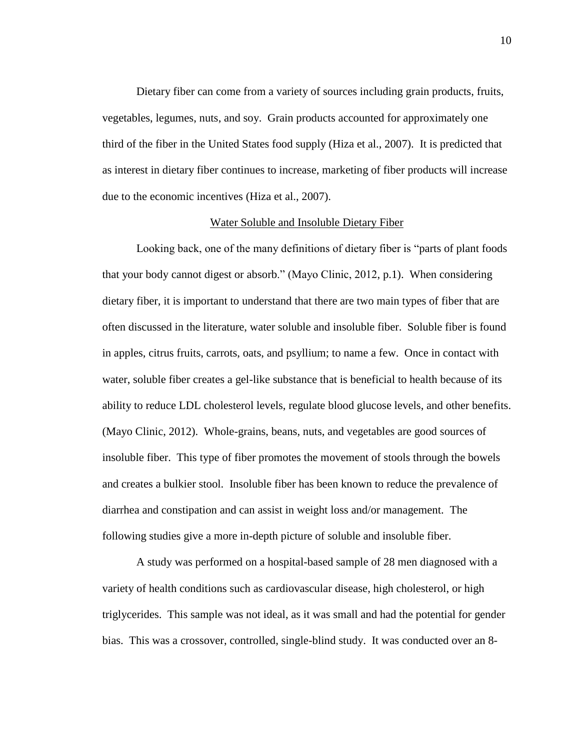Dietary fiber can come from a variety of sources including grain products, fruits, vegetables, legumes, nuts, and soy. Grain products accounted for approximately one third of the fiber in the United States food supply (Hiza et al., 2007). It is predicted that as interest in dietary fiber continues to increase, marketing of fiber products will increase due to the economic incentives (Hiza et al., 2007).

#### Water Soluble and Insoluble Dietary Fiber

Looking back, one of the many definitions of dietary fiber is "parts of plant foods that your body cannot digest or absorb." (Mayo Clinic, 2012, p.1). When considering dietary fiber, it is important to understand that there are two main types of fiber that are often discussed in the literature, water soluble and insoluble fiber. Soluble fiber is found in apples, citrus fruits, carrots, oats, and psyllium; to name a few. Once in contact with water, soluble fiber creates a gel-like substance that is beneficial to health because of its ability to reduce LDL cholesterol levels, regulate blood glucose levels, and other benefits. (Mayo Clinic, 2012). Whole-grains, beans, nuts, and vegetables are good sources of insoluble fiber. This type of fiber promotes the movement of stools through the bowels and creates a bulkier stool. Insoluble fiber has been known to reduce the prevalence of diarrhea and constipation and can assist in weight loss and/or management. The following studies give a more in-depth picture of soluble and insoluble fiber.

A study was performed on a hospital-based sample of 28 men diagnosed with a variety of health conditions such as cardiovascular disease, high cholesterol, or high triglycerides. This sample was not ideal, as it was small and had the potential for gender bias. This was a crossover, controlled, single-blind study. It was conducted over an 8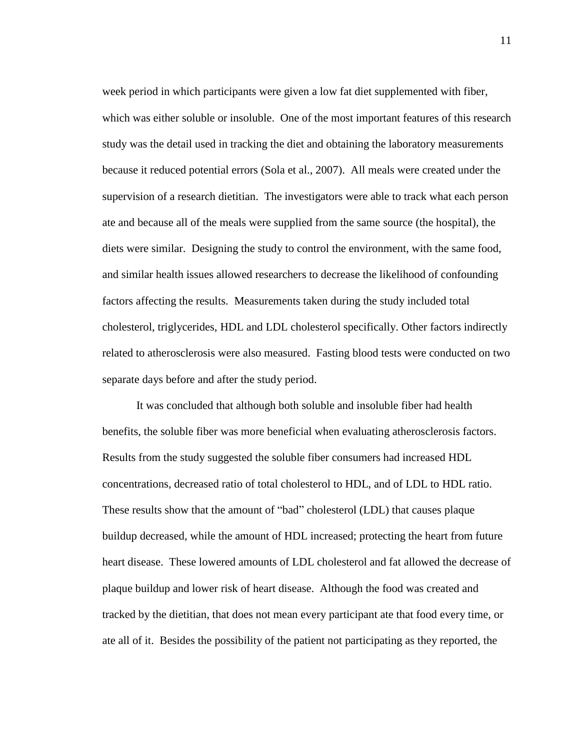week period in which participants were given a low fat diet supplemented with fiber, which was either soluble or insoluble. One of the most important features of this research study was the detail used in tracking the diet and obtaining the laboratory measurements because it reduced potential errors (Sola et al., 2007). All meals were created under the supervision of a research dietitian. The investigators were able to track what each person ate and because all of the meals were supplied from the same source (the hospital), the diets were similar. Designing the study to control the environment, with the same food, and similar health issues allowed researchers to decrease the likelihood of confounding factors affecting the results. Measurements taken during the study included total cholesterol, triglycerides, HDL and LDL cholesterol specifically. Other factors indirectly related to atherosclerosis were also measured. Fasting blood tests were conducted on two separate days before and after the study period.

It was concluded that although both soluble and insoluble fiber had health benefits, the soluble fiber was more beneficial when evaluating atherosclerosis factors. Results from the study suggested the soluble fiber consumers had increased HDL concentrations, decreased ratio of total cholesterol to HDL, and of LDL to HDL ratio. These results show that the amount of "bad" cholesterol (LDL) that causes plaque buildup decreased, while the amount of HDL increased; protecting the heart from future heart disease. These lowered amounts of LDL cholesterol and fat allowed the decrease of plaque buildup and lower risk of heart disease. Although the food was created and tracked by the dietitian, that does not mean every participant ate that food every time, or ate all of it. Besides the possibility of the patient not participating as they reported, the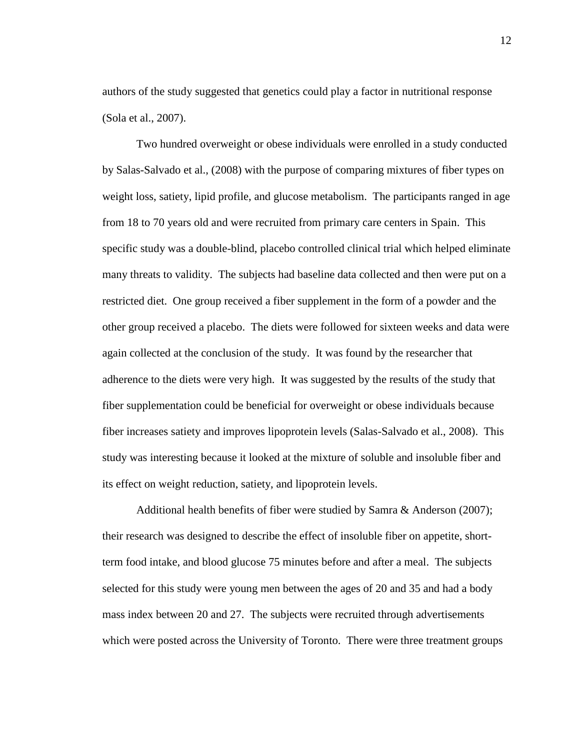authors of the study suggested that genetics could play a factor in nutritional response (Sola et al., 2007).

Two hundred overweight or obese individuals were enrolled in a study conducted by Salas-Salvado et al., (2008) with the purpose of comparing mixtures of fiber types on weight loss, satiety, lipid profile, and glucose metabolism. The participants ranged in age from 18 to 70 years old and were recruited from primary care centers in Spain. This specific study was a double-blind, placebo controlled clinical trial which helped eliminate many threats to validity. The subjects had baseline data collected and then were put on a restricted diet. One group received a fiber supplement in the form of a powder and the other group received a placebo. The diets were followed for sixteen weeks and data were again collected at the conclusion of the study. It was found by the researcher that adherence to the diets were very high. It was suggested by the results of the study that fiber supplementation could be beneficial for overweight or obese individuals because fiber increases satiety and improves lipoprotein levels (Salas-Salvado et al., 2008). This study was interesting because it looked at the mixture of soluble and insoluble fiber and its effect on weight reduction, satiety, and lipoprotein levels.

Additional health benefits of fiber were studied by Samra & Anderson (2007); their research was designed to describe the effect of insoluble fiber on appetite, shortterm food intake, and blood glucose 75 minutes before and after a meal. The subjects selected for this study were young men between the ages of 20 and 35 and had a body mass index between 20 and 27. The subjects were recruited through advertisements which were posted across the University of Toronto. There were three treatment groups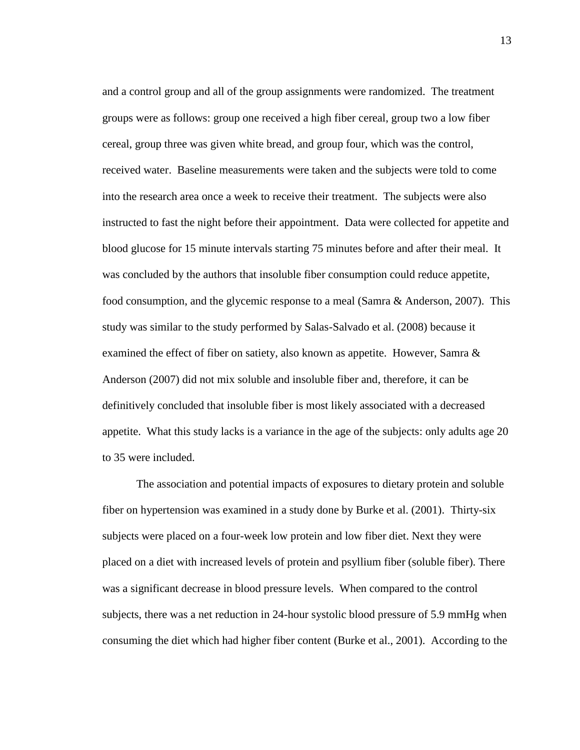and a control group and all of the group assignments were randomized. The treatment groups were as follows: group one received a high fiber cereal, group two a low fiber cereal, group three was given white bread, and group four, which was the control, received water. Baseline measurements were taken and the subjects were told to come into the research area once a week to receive their treatment. The subjects were also instructed to fast the night before their appointment. Data were collected for appetite and blood glucose for 15 minute intervals starting 75 minutes before and after their meal. It was concluded by the authors that insoluble fiber consumption could reduce appetite, food consumption, and the glycemic response to a meal (Samra & Anderson, 2007). This study was similar to the study performed by Salas-Salvado et al. (2008) because it examined the effect of fiber on satiety, also known as appetite. However, Samra  $\&$ Anderson (2007) did not mix soluble and insoluble fiber and, therefore, it can be definitively concluded that insoluble fiber is most likely associated with a decreased appetite. What this study lacks is a variance in the age of the subjects: only adults age 20 to 35 were included.

The association and potential impacts of exposures to dietary protein and soluble fiber on hypertension was examined in a study done by Burke et al. (2001). Thirty-six subjects were placed on a four-week low protein and low fiber diet. Next they were placed on a diet with increased levels of protein and psyllium fiber (soluble fiber). There was a significant decrease in blood pressure levels. When compared to the control subjects, there was a net reduction in 24-hour systolic blood pressure of 5.9 mmHg when consuming the diet which had higher fiber content (Burke et al., 2001). According to the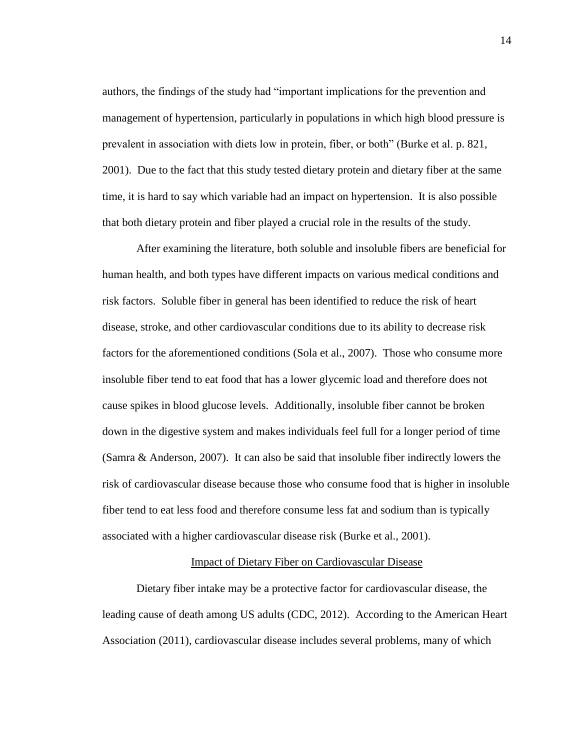authors, the findings of the study had "important implications for the prevention and management of hypertension, particularly in populations in which high blood pressure is prevalent in association with diets low in protein, fiber, or both" (Burke et al. p. 821, 2001). Due to the fact that this study tested dietary protein and dietary fiber at the same time, it is hard to say which variable had an impact on hypertension. It is also possible that both dietary protein and fiber played a crucial role in the results of the study.

After examining the literature, both soluble and insoluble fibers are beneficial for human health, and both types have different impacts on various medical conditions and risk factors. Soluble fiber in general has been identified to reduce the risk of heart disease, stroke, and other cardiovascular conditions due to its ability to decrease risk factors for the aforementioned conditions (Sola et al., 2007). Those who consume more insoluble fiber tend to eat food that has a lower glycemic load and therefore does not cause spikes in blood glucose levels. Additionally, insoluble fiber cannot be broken down in the digestive system and makes individuals feel full for a longer period of time (Samra & Anderson, 2007). It can also be said that insoluble fiber indirectly lowers the risk of cardiovascular disease because those who consume food that is higher in insoluble fiber tend to eat less food and therefore consume less fat and sodium than is typically associated with a higher cardiovascular disease risk (Burke et al., 2001).

# Impact of Dietary Fiber on Cardiovascular Disease

Dietary fiber intake may be a protective factor for cardiovascular disease, the leading cause of death among US adults (CDC, 2012). According to the American Heart Association (2011), cardiovascular disease includes several problems, many of which

14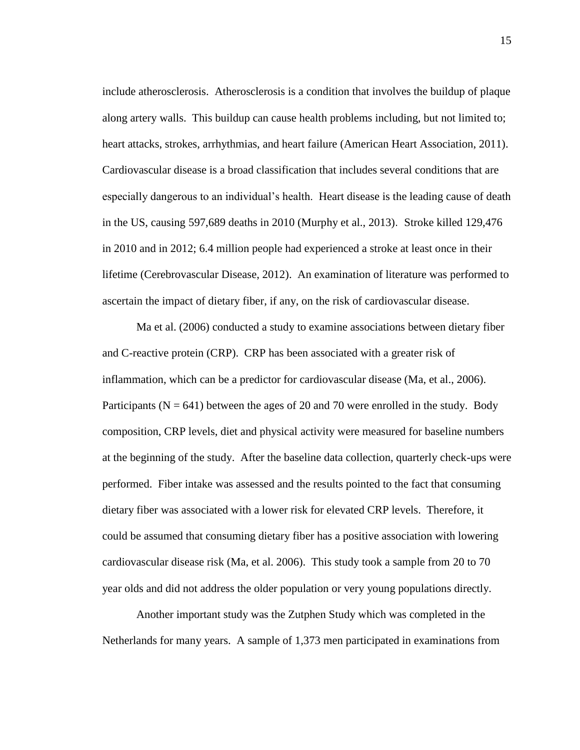include atherosclerosis. Atherosclerosis is a condition that involves the buildup of plaque along artery walls. This buildup can cause health problems including, but not limited to; heart attacks, strokes, arrhythmias, and heart failure (American Heart Association, 2011). Cardiovascular disease is a broad classification that includes several conditions that are especially dangerous to an individual's health. Heart disease is the leading cause of death in the US, causing 597,689 deaths in 2010 (Murphy et al., 2013). Stroke killed 129,476 in 2010 and in 2012; 6.4 million people had experienced a stroke at least once in their lifetime (Cerebrovascular Disease, 2012). An examination of literature was performed to ascertain the impact of dietary fiber, if any, on the risk of cardiovascular disease.

Ma et al. (2006) conducted a study to examine associations between dietary fiber and C-reactive protein (CRP). CRP has been associated with a greater risk of inflammation, which can be a predictor for cardiovascular disease (Ma, et al., 2006). Participants ( $N = 641$ ) between the ages of 20 and 70 were enrolled in the study. Body composition, CRP levels, diet and physical activity were measured for baseline numbers at the beginning of the study. After the baseline data collection, quarterly check-ups were performed. Fiber intake was assessed and the results pointed to the fact that consuming dietary fiber was associated with a lower risk for elevated CRP levels. Therefore, it could be assumed that consuming dietary fiber has a positive association with lowering cardiovascular disease risk (Ma, et al. 2006). This study took a sample from 20 to 70 year olds and did not address the older population or very young populations directly.

Another important study was the Zutphen Study which was completed in the Netherlands for many years. A sample of 1,373 men participated in examinations from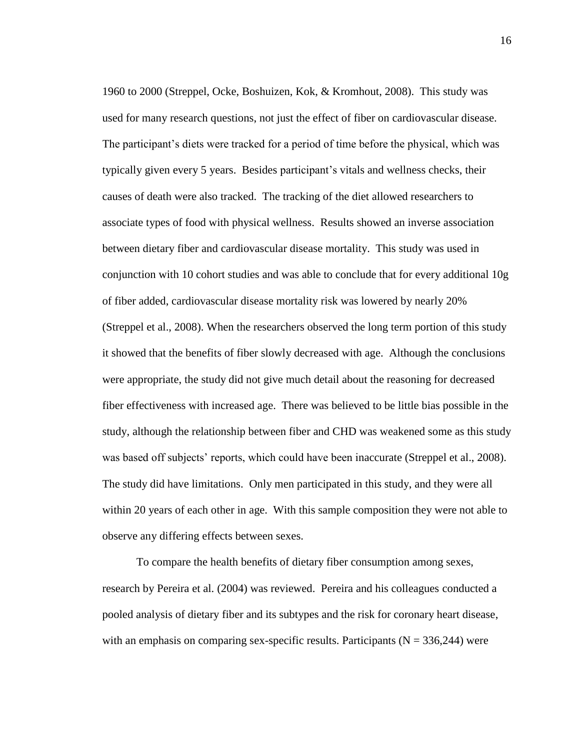1960 to 2000 (Streppel, Ocke, Boshuizen, Kok, & Kromhout, 2008). This study was used for many research questions, not just the effect of fiber on cardiovascular disease. The participant's diets were tracked for a period of time before the physical, which was typically given every 5 years. Besides participant's vitals and wellness checks, their causes of death were also tracked. The tracking of the diet allowed researchers to associate types of food with physical wellness. Results showed an inverse association between dietary fiber and cardiovascular disease mortality. This study was used in conjunction with 10 cohort studies and was able to conclude that for every additional 10g of fiber added, cardiovascular disease mortality risk was lowered by nearly 20% (Streppel et al., 2008). When the researchers observed the long term portion of this study it showed that the benefits of fiber slowly decreased with age. Although the conclusions were appropriate, the study did not give much detail about the reasoning for decreased fiber effectiveness with increased age. There was believed to be little bias possible in the study, although the relationship between fiber and CHD was weakened some as this study was based off subjects' reports, which could have been inaccurate (Streppel et al., 2008). The study did have limitations. Only men participated in this study, and they were all within 20 years of each other in age. With this sample composition they were not able to observe any differing effects between sexes.

To compare the health benefits of dietary fiber consumption among sexes, research by Pereira et al. (2004) was reviewed. Pereira and his colleagues conducted a pooled analysis of dietary fiber and its subtypes and the risk for coronary heart disease, with an emphasis on comparing sex-specific results. Participants ( $N = 336,244$ ) were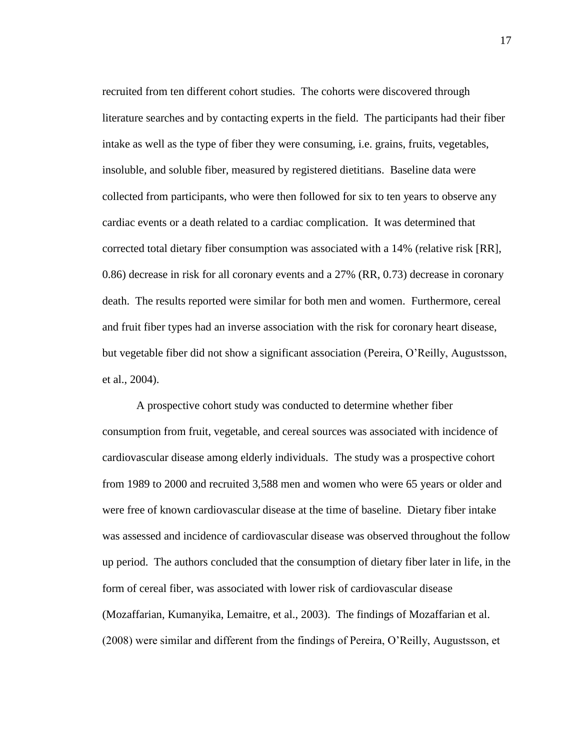recruited from ten different cohort studies. The cohorts were discovered through literature searches and by contacting experts in the field. The participants had their fiber intake as well as the type of fiber they were consuming, i.e. grains, fruits, vegetables, insoluble, and soluble fiber, measured by registered dietitians. Baseline data were collected from participants, who were then followed for six to ten years to observe any cardiac events or a death related to a cardiac complication. It was determined that corrected total dietary fiber consumption was associated with a 14% (relative risk [RR], 0.86) decrease in risk for all coronary events and a 27% (RR, 0.73) decrease in coronary death. The results reported were similar for both men and women. Furthermore, cereal and fruit fiber types had an inverse association with the risk for coronary heart disease, but vegetable fiber did not show a significant association (Pereira, O'Reilly, Augustsson, et al., 2004).

A prospective cohort study was conducted to determine whether fiber consumption from fruit, vegetable, and cereal sources was associated with incidence of cardiovascular disease among elderly individuals. The study was a prospective cohort from 1989 to 2000 and recruited 3,588 men and women who were 65 years or older and were free of known cardiovascular disease at the time of baseline. Dietary fiber intake was assessed and incidence of cardiovascular disease was observed throughout the follow up period. The authors concluded that the consumption of dietary fiber later in life, in the form of cereal fiber, was associated with lower risk of cardiovascular disease (Mozaffarian, Kumanyika, Lemaitre, et al., 2003). The findings of Mozaffarian et al. (2008) were similar and different from the findings of Pereira, O'Reilly, Augustsson, et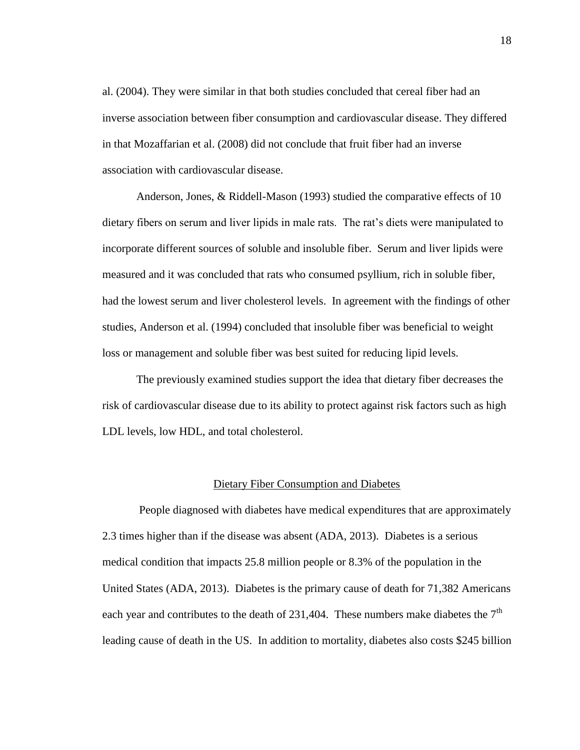al. (2004). They were similar in that both studies concluded that cereal fiber had an inverse association between fiber consumption and cardiovascular disease. They differed in that Mozaffarian et al. (2008) did not conclude that fruit fiber had an inverse association with cardiovascular disease.

Anderson, Jones, & Riddell-Mason (1993) studied the comparative effects of 10 dietary fibers on serum and liver lipids in male rats. The rat's diets were manipulated to incorporate different sources of soluble and insoluble fiber. Serum and liver lipids were measured and it was concluded that rats who consumed psyllium, rich in soluble fiber, had the lowest serum and liver cholesterol levels. In agreement with the findings of other studies, Anderson et al. (1994) concluded that insoluble fiber was beneficial to weight loss or management and soluble fiber was best suited for reducing lipid levels.

The previously examined studies support the idea that dietary fiber decreases the risk of cardiovascular disease due to its ability to protect against risk factors such as high LDL levels, low HDL, and total cholesterol.

# Dietary Fiber Consumption and Diabetes

People diagnosed with diabetes have medical expenditures that are approximately 2.3 times higher than if the disease was absent (ADA, 2013). Diabetes is a serious medical condition that impacts 25.8 million people or 8.3% of the population in the United States (ADA, 2013). Diabetes is the primary cause of death for 71,382 Americans each year and contributes to the death of 231,404. These numbers make diabetes the  $7<sup>th</sup>$ leading cause of death in the US. In addition to mortality, diabetes also costs \$245 billion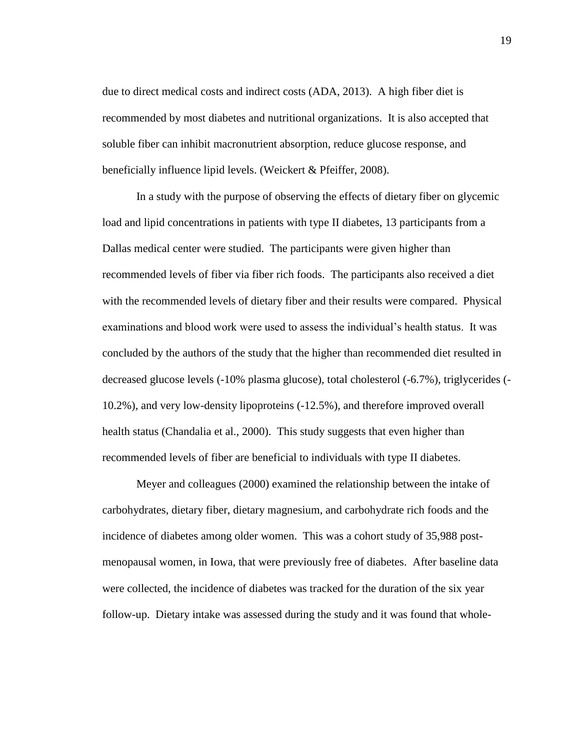due to direct medical costs and indirect costs (ADA, 2013). A high fiber diet is recommended by most diabetes and nutritional organizations. It is also accepted that soluble fiber can inhibit macronutrient absorption, reduce glucose response, and beneficially influence lipid levels. (Weickert & Pfeiffer, 2008).

In a study with the purpose of observing the effects of dietary fiber on glycemic load and lipid concentrations in patients with type II diabetes, 13 participants from a Dallas medical center were studied. The participants were given higher than recommended levels of fiber via fiber rich foods. The participants also received a diet with the recommended levels of dietary fiber and their results were compared. Physical examinations and blood work were used to assess the individual's health status. It was concluded by the authors of the study that the higher than recommended diet resulted in decreased glucose levels (-10% plasma glucose), total cholesterol (-6.7%), triglycerides (- 10.2%), and very low-density lipoproteins (-12.5%), and therefore improved overall health status (Chandalia et al., 2000). This study suggests that even higher than recommended levels of fiber are beneficial to individuals with type II diabetes.

Meyer and colleagues (2000) examined the relationship between the intake of carbohydrates, dietary fiber, dietary magnesium, and carbohydrate rich foods and the incidence of diabetes among older women. This was a cohort study of 35,988 postmenopausal women, in Iowa, that were previously free of diabetes. After baseline data were collected, the incidence of diabetes was tracked for the duration of the six year follow-up. Dietary intake was assessed during the study and it was found that whole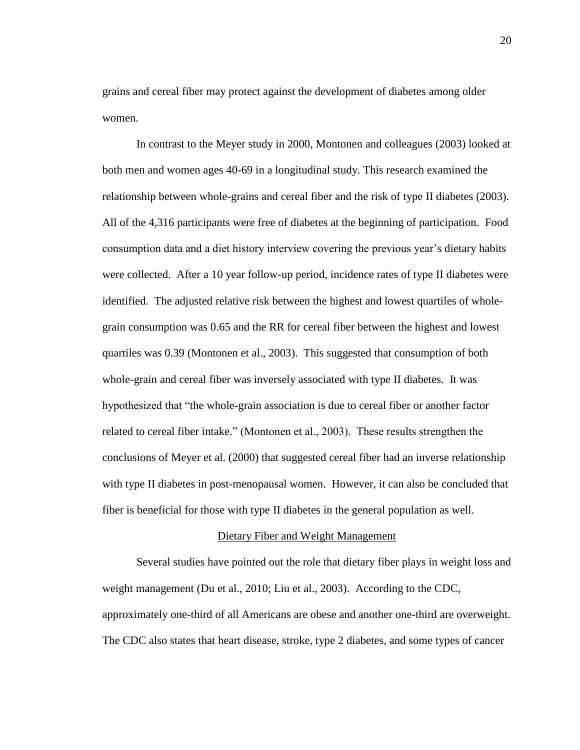grains and cereal fiber may protect against the development of diabetes among older women.

In contrast to the Meyer study in 2000, Montonen and colleagues (2003) looked at both men and women ages 40-69 in a longitudinal study. This research examined the relationship between whole-grains and cereal fiber and the risk of type II diabetes (2003). All of the 4,316 participants were free of diabetes at the beginning of participation. Food consumption data and a diet history interview covering the previous year's dietary habits were collected. After a 10 year follow-up period, incidence rates of type II diabetes were identified. The adjusted relative risk between the highest and lowest quartiles of wholegrain consumption was 0.65 and the RR for cereal fiber between the highest and lowest quartiles was 0.39 (Montonen et al., 2003). This suggested that consumption of both whole-grain and cereal fiber was inversely associated with type II diabetes. It was hypothesized that "the whole-grain association is due to cereal fiber or another factor related to cereal fiber intake." (Montonen et al., 2003). These results strengthen the conclusions of Meyer et al. (2000) that suggested cereal fiber had an inverse relationship with type II diabetes in post-menopausal women. However, it can also be concluded that fiber is beneficial for those with type II diabetes in the general population as well.

# Dietary Fiber and Weight Management

Several studies have pointed out the role that dietary fiber plays in weight loss and weight management (Du et al., 2010; Liu et al., 2003). According to the CDC, approximately one-third of all Americans are obese and another one-third are overweight. The CDC also states that heart disease, stroke, type 2 diabetes, and some types of cancer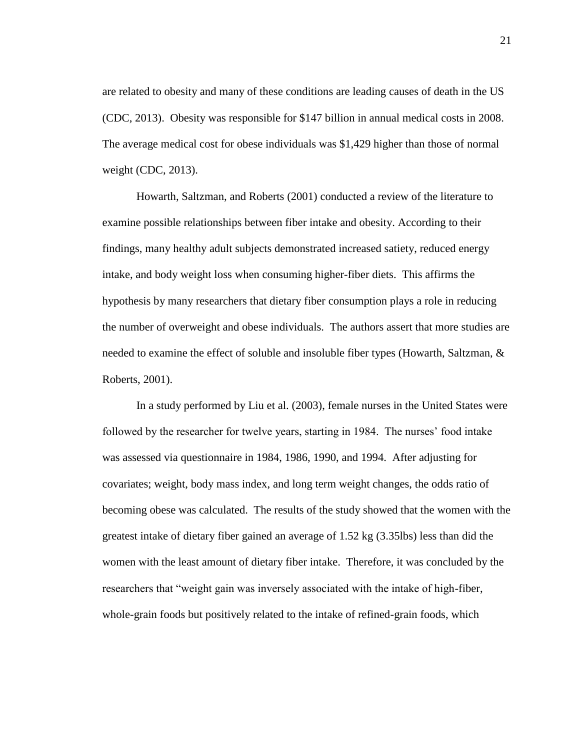are related to obesity and many of these conditions are leading causes of death in the US (CDC, 2013). Obesity was responsible for \$147 billion in annual medical costs in 2008. The average medical cost for obese individuals was \$1,429 higher than those of normal weight (CDC, 2013).

Howarth, Saltzman, and Roberts (2001) conducted a review of the literature to examine possible relationships between fiber intake and obesity. According to their findings, many healthy adult subjects demonstrated increased satiety, reduced energy intake, and body weight loss when consuming higher-fiber diets. This affirms the hypothesis by many researchers that dietary fiber consumption plays a role in reducing the number of overweight and obese individuals. The authors assert that more studies are needed to examine the effect of soluble and insoluble fiber types (Howarth, Saltzman, & Roberts, 2001).

In a study performed by Liu et al. (2003), female nurses in the United States were followed by the researcher for twelve years, starting in 1984. The nurses' food intake was assessed via questionnaire in 1984, 1986, 1990, and 1994. After adjusting for covariates; weight, body mass index, and long term weight changes, the odds ratio of becoming obese was calculated. The results of the study showed that the women with the greatest intake of dietary fiber gained an average of 1.52 kg (3.35lbs) less than did the women with the least amount of dietary fiber intake. Therefore, it was concluded by the researchers that "weight gain was inversely associated with the intake of high-fiber, whole-grain foods but positively related to the intake of refined-grain foods, which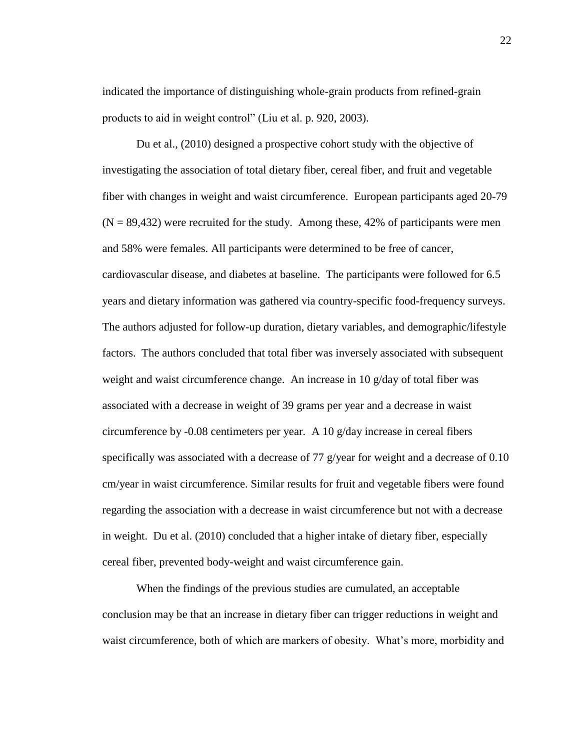indicated the importance of distinguishing whole-grain products from refined-grain products to aid in weight control" (Liu et al. p. 920, 2003).

Du et al., (2010) designed a prospective cohort study with the objective of investigating the association of total dietary fiber, cereal fiber, and fruit and vegetable fiber with changes in weight and waist circumference. European participants aged 20-79  $(N = 89,432)$  were recruited for the study. Among these, 42% of participants were men and 58% were females. All participants were determined to be free of cancer, cardiovascular disease, and diabetes at baseline. The participants were followed for 6.5 years and dietary information was gathered via country-specific food-frequency surveys. The authors adjusted for follow-up duration, dietary variables, and demographic/lifestyle factors. The authors concluded that total fiber was inversely associated with subsequent weight and waist circumference change. An increase in 10 g/day of total fiber was associated with a decrease in weight of 39 grams per year and a decrease in waist circumference by -0.08 centimeters per year. A 10  $g$ /day increase in cereal fibers specifically was associated with a decrease of 77 g/year for weight and a decrease of 0.10 cm/year in waist circumference. Similar results for fruit and vegetable fibers were found regarding the association with a decrease in waist circumference but not with a decrease in weight. Du et al. (2010) concluded that a higher intake of dietary fiber, especially cereal fiber, prevented body-weight and waist circumference gain.

When the findings of the previous studies are cumulated, an acceptable conclusion may be that an increase in dietary fiber can trigger reductions in weight and waist circumference, both of which are markers of obesity. What's more, morbidity and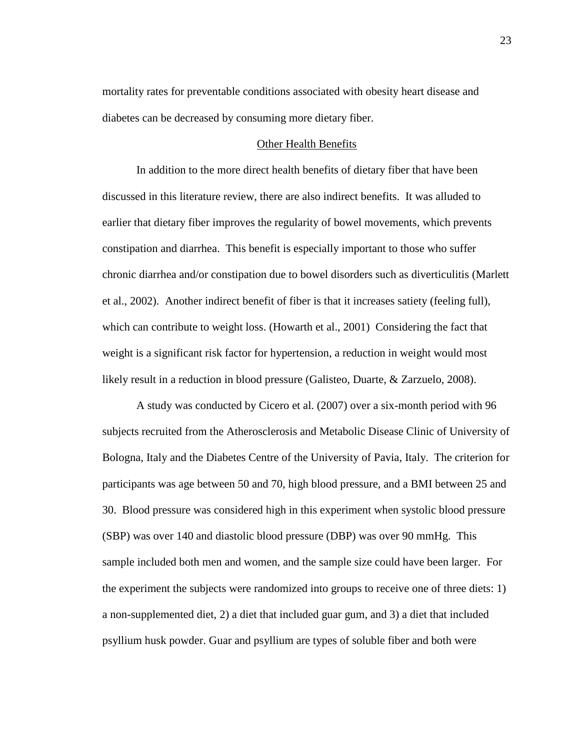mortality rates for preventable conditions associated with obesity heart disease and diabetes can be decreased by consuming more dietary fiber.

#### Other Health Benefits

In addition to the more direct health benefits of dietary fiber that have been discussed in this literature review, there are also indirect benefits. It was alluded to earlier that dietary fiber improves the regularity of bowel movements, which prevents constipation and diarrhea. This benefit is especially important to those who suffer chronic diarrhea and/or constipation due to bowel disorders such as diverticulitis (Marlett et al., 2002). Another indirect benefit of fiber is that it increases satiety (feeling full), which can contribute to weight loss. (Howarth et al., 2001) Considering the fact that weight is a significant risk factor for hypertension, a reduction in weight would most likely result in a reduction in blood pressure (Galisteo, Duarte, & Zarzuelo, 2008).

A study was conducted by Cicero et al. (2007) over a six-month period with 96 subjects recruited from the Atherosclerosis and Metabolic Disease Clinic of University of Bologna, Italy and the Diabetes Centre of the University of Pavia, Italy. The criterion for participants was age between 50 and 70, high blood pressure, and a BMI between 25 and 30. Blood pressure was considered high in this experiment when systolic blood pressure (SBP) was over 140 and diastolic blood pressure (DBP) was over 90 mmHg. This sample included both men and women, and the sample size could have been larger. For the experiment the subjects were randomized into groups to receive one of three diets: 1) a non-supplemented diet, 2) a diet that included guar gum, and 3) a diet that included psyllium husk powder. Guar and psyllium are types of soluble fiber and both were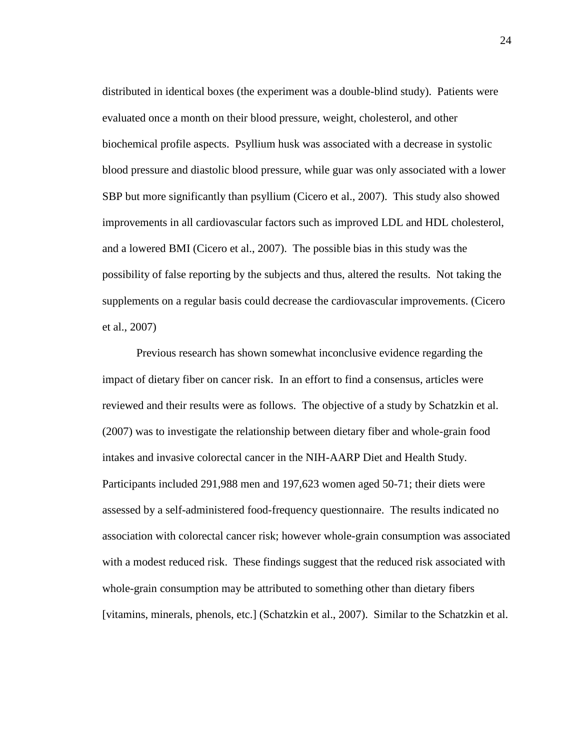distributed in identical boxes (the experiment was a double-blind study). Patients were evaluated once a month on their blood pressure, weight, cholesterol, and other biochemical profile aspects. Psyllium husk was associated with a decrease in systolic blood pressure and diastolic blood pressure, while guar was only associated with a lower SBP but more significantly than psyllium (Cicero et al., 2007). This study also showed improvements in all cardiovascular factors such as improved LDL and HDL cholesterol, and a lowered BMI (Cicero et al., 2007). The possible bias in this study was the possibility of false reporting by the subjects and thus, altered the results. Not taking the supplements on a regular basis could decrease the cardiovascular improvements. (Cicero et al., 2007)

Previous research has shown somewhat inconclusive evidence regarding the impact of dietary fiber on cancer risk. In an effort to find a consensus, articles were reviewed and their results were as follows. The objective of a study by Schatzkin et al. (2007) was to investigate the relationship between dietary fiber and whole-grain food intakes and invasive colorectal cancer in the NIH-AARP Diet and Health Study. Participants included 291,988 men and 197,623 women aged 50-71; their diets were assessed by a self-administered food-frequency questionnaire. The results indicated no association with colorectal cancer risk; however whole-grain consumption was associated with a modest reduced risk. These findings suggest that the reduced risk associated with whole-grain consumption may be attributed to something other than dietary fibers [vitamins, minerals, phenols, etc.] (Schatzkin et al., 2007). Similar to the Schatzkin et al.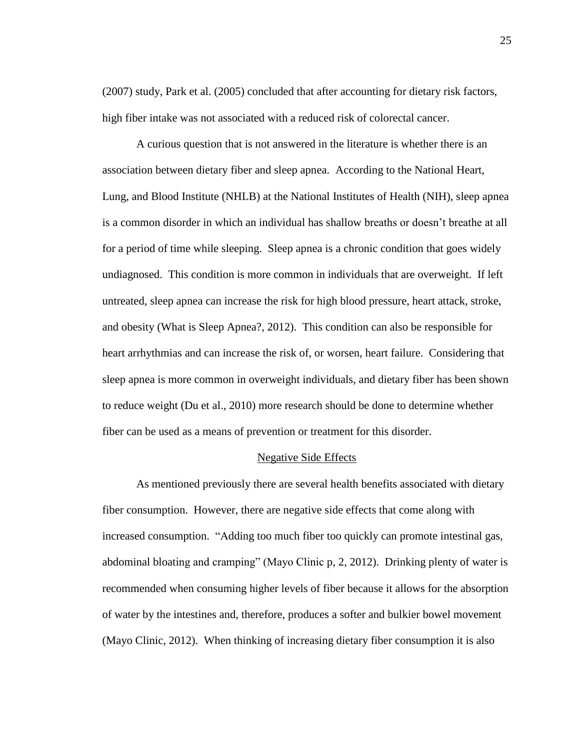(2007) study, Park et al. (2005) concluded that after accounting for dietary risk factors, high fiber intake was not associated with a reduced risk of colorectal cancer.

A curious question that is not answered in the literature is whether there is an association between dietary fiber and sleep apnea. According to the National Heart, Lung, and Blood Institute (NHLB) at the National Institutes of Health (NIH), sleep apnea is a common disorder in which an individual has shallow breaths or doesn't breathe at all for a period of time while sleeping. Sleep apnea is a chronic condition that goes widely undiagnosed. This condition is more common in individuals that are overweight. If left untreated, sleep apnea can increase the risk for high blood pressure, heart attack, stroke, and obesity (What is Sleep Apnea?, 2012). This condition can also be responsible for heart arrhythmias and can increase the risk of, or worsen, heart failure. Considering that sleep apnea is more common in overweight individuals, and dietary fiber has been shown to reduce weight (Du et al., 2010) more research should be done to determine whether fiber can be used as a means of prevention or treatment for this disorder.

### Negative Side Effects

As mentioned previously there are several health benefits associated with dietary fiber consumption. However, there are negative side effects that come along with increased consumption. "Adding too much fiber too quickly can promote intestinal gas, abdominal bloating and cramping" (Mayo Clinic p, 2, 2012). Drinking plenty of water is recommended when consuming higher levels of fiber because it allows for the absorption of water by the intestines and, therefore, produces a softer and bulkier bowel movement (Mayo Clinic, 2012). When thinking of increasing dietary fiber consumption it is also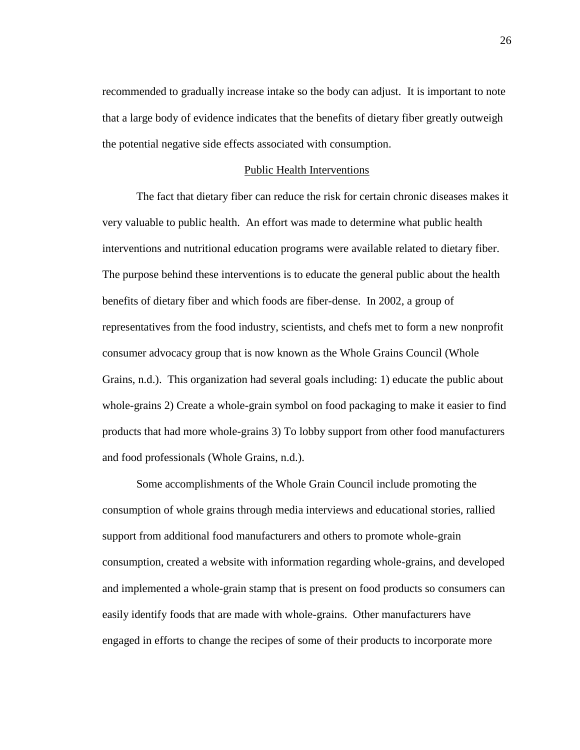recommended to gradually increase intake so the body can adjust. It is important to note that a large body of evidence indicates that the benefits of dietary fiber greatly outweigh the potential negative side effects associated with consumption.

### Public Health Interventions

The fact that dietary fiber can reduce the risk for certain chronic diseases makes it very valuable to public health. An effort was made to determine what public health interventions and nutritional education programs were available related to dietary fiber. The purpose behind these interventions is to educate the general public about the health benefits of dietary fiber and which foods are fiber-dense. In 2002, a group of representatives from the food industry, scientists, and chefs met to form a new nonprofit consumer advocacy group that is now known as the Whole Grains Council (Whole Grains, n.d.). This organization had several goals including: 1) educate the public about whole-grains 2) Create a whole-grain symbol on food packaging to make it easier to find products that had more whole-grains 3) To lobby support from other food manufacturers and food professionals (Whole Grains, n.d.).

Some accomplishments of the Whole Grain Council include promoting the consumption of whole grains through media interviews and educational stories, rallied support from additional food manufacturers and others to promote whole-grain consumption, created a website with information regarding whole-grains, and developed and implemented a whole-grain stamp that is present on food products so consumers can easily identify foods that are made with whole-grains. Other manufacturers have engaged in efforts to change the recipes of some of their products to incorporate more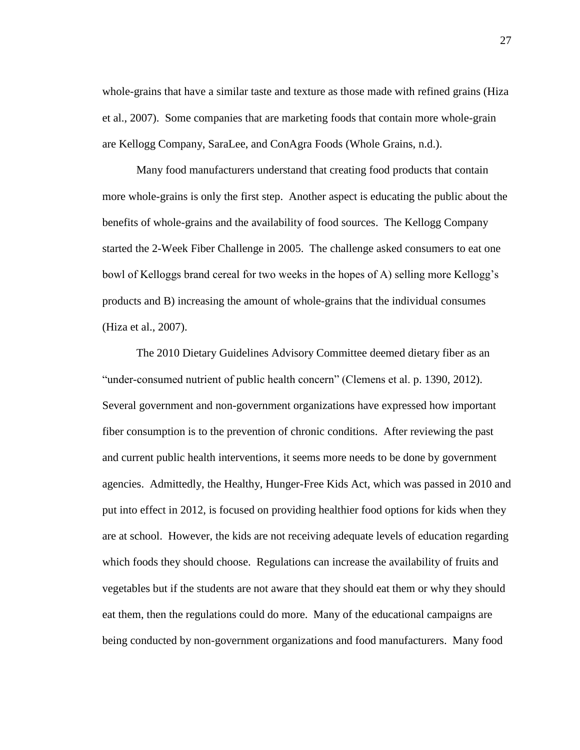whole-grains that have a similar taste and texture as those made with refined grains (Hiza et al., 2007). Some companies that are marketing foods that contain more whole-grain are Kellogg Company, SaraLee, and ConAgra Foods (Whole Grains, n.d.).

Many food manufacturers understand that creating food products that contain more whole-grains is only the first step. Another aspect is educating the public about the benefits of whole-grains and the availability of food sources. The Kellogg Company started the 2-Week Fiber Challenge in 2005. The challenge asked consumers to eat one bowl of Kelloggs brand cereal for two weeks in the hopes of A) selling more Kellogg's products and B) increasing the amount of whole-grains that the individual consumes (Hiza et al., 2007).

The 2010 Dietary Guidelines Advisory Committee deemed dietary fiber as an "under-consumed nutrient of public health concern" (Clemens et al. p. 1390, 2012). Several government and non-government organizations have expressed how important fiber consumption is to the prevention of chronic conditions. After reviewing the past and current public health interventions, it seems more needs to be done by government agencies. Admittedly, the Healthy, Hunger-Free Kids Act, which was passed in 2010 and put into effect in 2012, is focused on providing healthier food options for kids when they are at school. However, the kids are not receiving adequate levels of education regarding which foods they should choose. Regulations can increase the availability of fruits and vegetables but if the students are not aware that they should eat them or why they should eat them, then the regulations could do more. Many of the educational campaigns are being conducted by non-government organizations and food manufacturers. Many food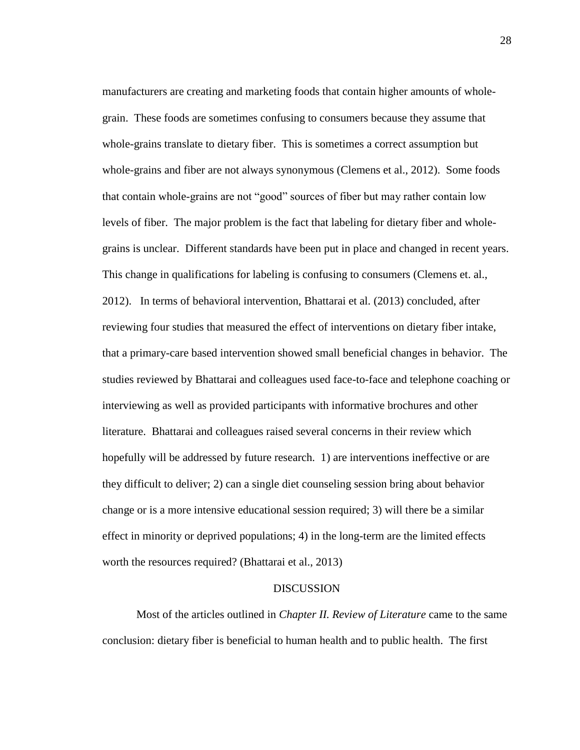manufacturers are creating and marketing foods that contain higher amounts of wholegrain. These foods are sometimes confusing to consumers because they assume that whole-grains translate to dietary fiber. This is sometimes a correct assumption but whole-grains and fiber are not always synonymous (Clemens et al., 2012). Some foods that contain whole-grains are not "good" sources of fiber but may rather contain low levels of fiber. The major problem is the fact that labeling for dietary fiber and wholegrains is unclear. Different standards have been put in place and changed in recent years. This change in qualifications for labeling is confusing to consumers (Clemens et. al., 2012). In terms of behavioral intervention, Bhattarai et al. (2013) concluded, after reviewing four studies that measured the effect of interventions on dietary fiber intake, that a primary-care based intervention showed small beneficial changes in behavior. The studies reviewed by Bhattarai and colleagues used face-to-face and telephone coaching or interviewing as well as provided participants with informative brochures and other literature. Bhattarai and colleagues raised several concerns in their review which hopefully will be addressed by future research. 1) are interventions ineffective or are they difficult to deliver; 2) can a single diet counseling session bring about behavior change or is a more intensive educational session required; 3) will there be a similar effect in minority or deprived populations; 4) in the long-term are the limited effects worth the resources required? (Bhattarai et al., 2013)

### DISCUSSION

Most of the articles outlined in *Chapter II. Review of Literature* came to the same conclusion: dietary fiber is beneficial to human health and to public health. The first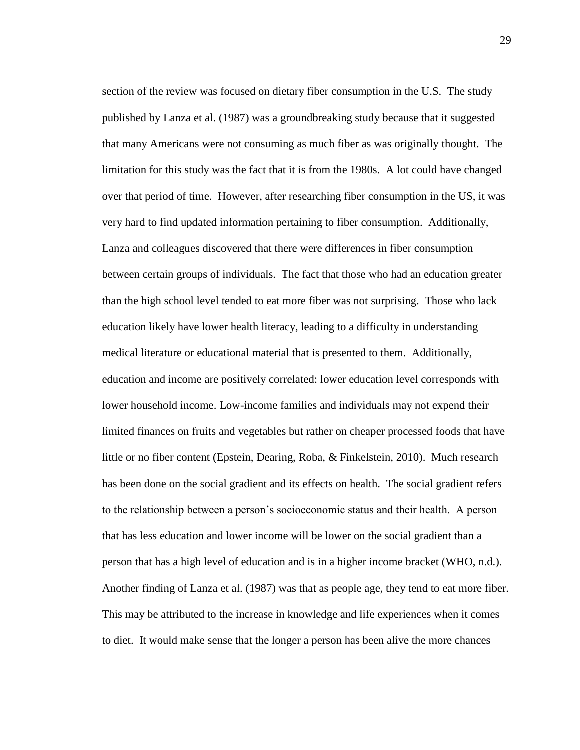section of the review was focused on dietary fiber consumption in the U.S. The study published by Lanza et al. (1987) was a groundbreaking study because that it suggested that many Americans were not consuming as much fiber as was originally thought. The limitation for this study was the fact that it is from the 1980s. A lot could have changed over that period of time. However, after researching fiber consumption in the US, it was very hard to find updated information pertaining to fiber consumption. Additionally, Lanza and colleagues discovered that there were differences in fiber consumption between certain groups of individuals. The fact that those who had an education greater than the high school level tended to eat more fiber was not surprising. Those who lack education likely have lower health literacy, leading to a difficulty in understanding medical literature or educational material that is presented to them. Additionally, education and income are positively correlated: lower education level corresponds with lower household income. Low-income families and individuals may not expend their limited finances on fruits and vegetables but rather on cheaper processed foods that have little or no fiber content (Epstein, Dearing, Roba, & Finkelstein, 2010). Much research has been done on the social gradient and its effects on health. The social gradient refers to the relationship between a person's socioeconomic status and their health. A person that has less education and lower income will be lower on the social gradient than a person that has a high level of education and is in a higher income bracket (WHO, n.d.). Another finding of Lanza et al. (1987) was that as people age, they tend to eat more fiber. This may be attributed to the increase in knowledge and life experiences when it comes to diet. It would make sense that the longer a person has been alive the more chances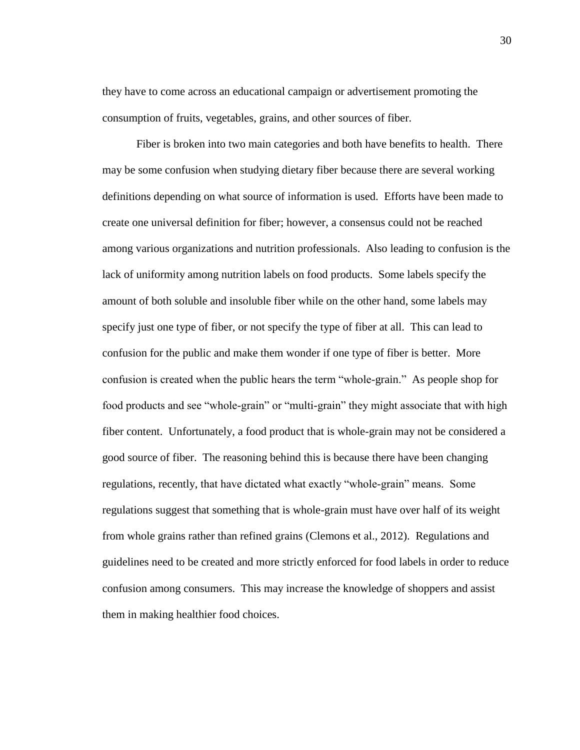they have to come across an educational campaign or advertisement promoting the consumption of fruits, vegetables, grains, and other sources of fiber.

Fiber is broken into two main categories and both have benefits to health. There may be some confusion when studying dietary fiber because there are several working definitions depending on what source of information is used. Efforts have been made to create one universal definition for fiber; however, a consensus could not be reached among various organizations and nutrition professionals. Also leading to confusion is the lack of uniformity among nutrition labels on food products. Some labels specify the amount of both soluble and insoluble fiber while on the other hand, some labels may specify just one type of fiber, or not specify the type of fiber at all. This can lead to confusion for the public and make them wonder if one type of fiber is better. More confusion is created when the public hears the term "whole-grain." As people shop for food products and see "whole-grain" or "multi-grain" they might associate that with high fiber content. Unfortunately, a food product that is whole-grain may not be considered a good source of fiber. The reasoning behind this is because there have been changing regulations, recently, that have dictated what exactly "whole-grain" means. Some regulations suggest that something that is whole-grain must have over half of its weight from whole grains rather than refined grains (Clemons et al., 2012). Regulations and guidelines need to be created and more strictly enforced for food labels in order to reduce confusion among consumers. This may increase the knowledge of shoppers and assist them in making healthier food choices.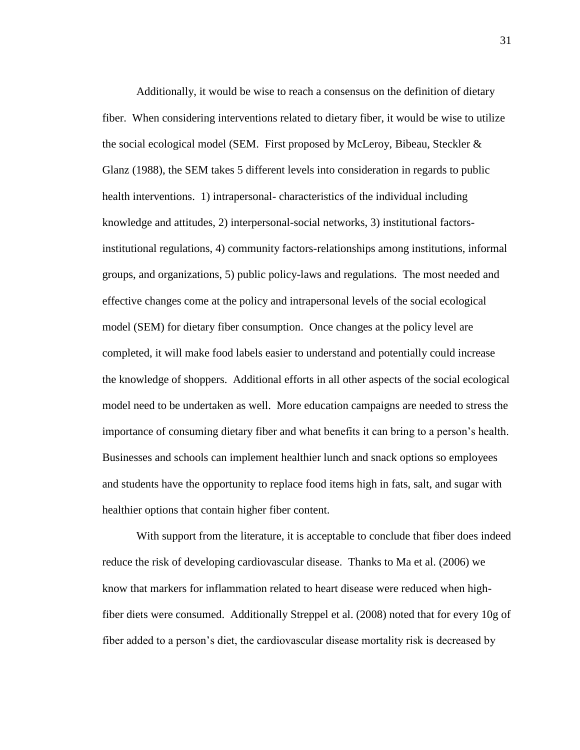Additionally, it would be wise to reach a consensus on the definition of dietary fiber. When considering interventions related to dietary fiber, it would be wise to utilize the social ecological model (SEM. First proposed by McLeroy, Bibeau, Steckler  $\&$ Glanz (1988), the SEM takes 5 different levels into consideration in regards to public health interventions. 1) intrapersonal- characteristics of the individual including knowledge and attitudes, 2) interpersonal-social networks, 3) institutional factorsinstitutional regulations, 4) community factors-relationships among institutions, informal groups, and organizations, 5) public policy-laws and regulations. The most needed and effective changes come at the policy and intrapersonal levels of the social ecological model (SEM) for dietary fiber consumption. Once changes at the policy level are completed, it will make food labels easier to understand and potentially could increase the knowledge of shoppers. Additional efforts in all other aspects of the social ecological model need to be undertaken as well. More education campaigns are needed to stress the importance of consuming dietary fiber and what benefits it can bring to a person's health. Businesses and schools can implement healthier lunch and snack options so employees and students have the opportunity to replace food items high in fats, salt, and sugar with healthier options that contain higher fiber content.

With support from the literature, it is acceptable to conclude that fiber does indeed reduce the risk of developing cardiovascular disease. Thanks to Ma et al. (2006) we know that markers for inflammation related to heart disease were reduced when highfiber diets were consumed. Additionally Streppel et al. (2008) noted that for every 10g of fiber added to a person's diet, the cardiovascular disease mortality risk is decreased by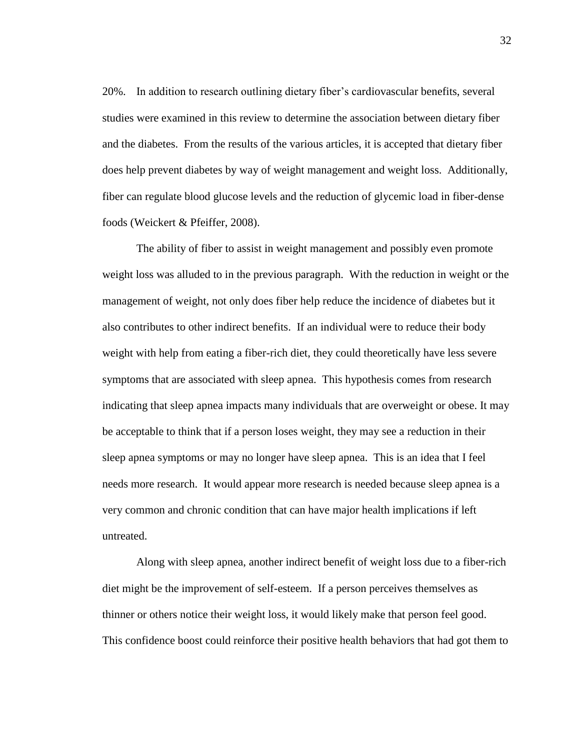20%. In addition to research outlining dietary fiber's cardiovascular benefits, several studies were examined in this review to determine the association between dietary fiber and the diabetes. From the results of the various articles, it is accepted that dietary fiber does help prevent diabetes by way of weight management and weight loss. Additionally, fiber can regulate blood glucose levels and the reduction of glycemic load in fiber-dense foods (Weickert & Pfeiffer, 2008).

The ability of fiber to assist in weight management and possibly even promote weight loss was alluded to in the previous paragraph. With the reduction in weight or the management of weight, not only does fiber help reduce the incidence of diabetes but it also contributes to other indirect benefits. If an individual were to reduce their body weight with help from eating a fiber-rich diet, they could theoretically have less severe symptoms that are associated with sleep apnea. This hypothesis comes from research indicating that sleep apnea impacts many individuals that are overweight or obese. It may be acceptable to think that if a person loses weight, they may see a reduction in their sleep apnea symptoms or may no longer have sleep apnea. This is an idea that I feel needs more research. It would appear more research is needed because sleep apnea is a very common and chronic condition that can have major health implications if left untreated.

Along with sleep apnea, another indirect benefit of weight loss due to a fiber-rich diet might be the improvement of self-esteem. If a person perceives themselves as thinner or others notice their weight loss, it would likely make that person feel good. This confidence boost could reinforce their positive health behaviors that had got them to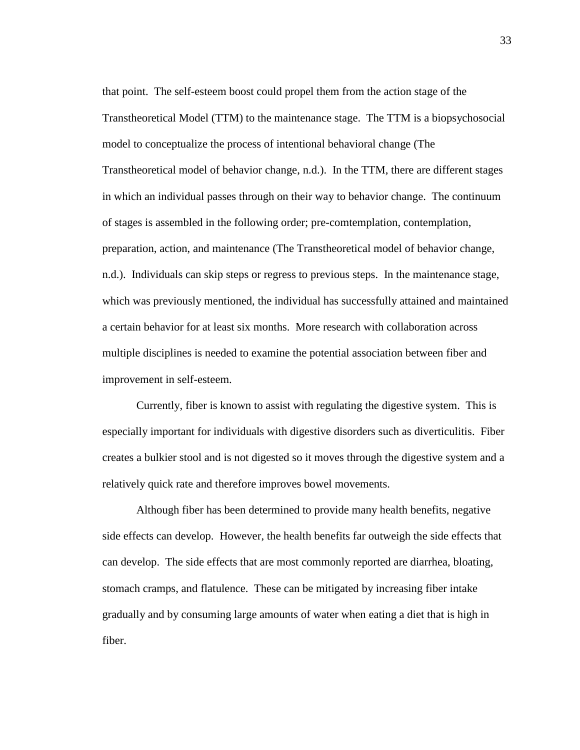that point. The self-esteem boost could propel them from the action stage of the Transtheoretical Model (TTM) to the maintenance stage. The TTM is a biopsychosocial model to conceptualize the process of intentional behavioral change (The Transtheoretical model of behavior change, n.d.). In the TTM, there are different stages in which an individual passes through on their way to behavior change. The continuum of stages is assembled in the following order; pre-comtemplation, contemplation, preparation, action, and maintenance (The Transtheoretical model of behavior change, n.d.). Individuals can skip steps or regress to previous steps. In the maintenance stage, which was previously mentioned, the individual has successfully attained and maintained a certain behavior for at least six months. More research with collaboration across multiple disciplines is needed to examine the potential association between fiber and improvement in self-esteem.

Currently, fiber is known to assist with regulating the digestive system. This is especially important for individuals with digestive disorders such as diverticulitis. Fiber creates a bulkier stool and is not digested so it moves through the digestive system and a relatively quick rate and therefore improves bowel movements.

Although fiber has been determined to provide many health benefits, negative side effects can develop. However, the health benefits far outweigh the side effects that can develop. The side effects that are most commonly reported are diarrhea, bloating, stomach cramps, and flatulence. These can be mitigated by increasing fiber intake gradually and by consuming large amounts of water when eating a diet that is high in fiber.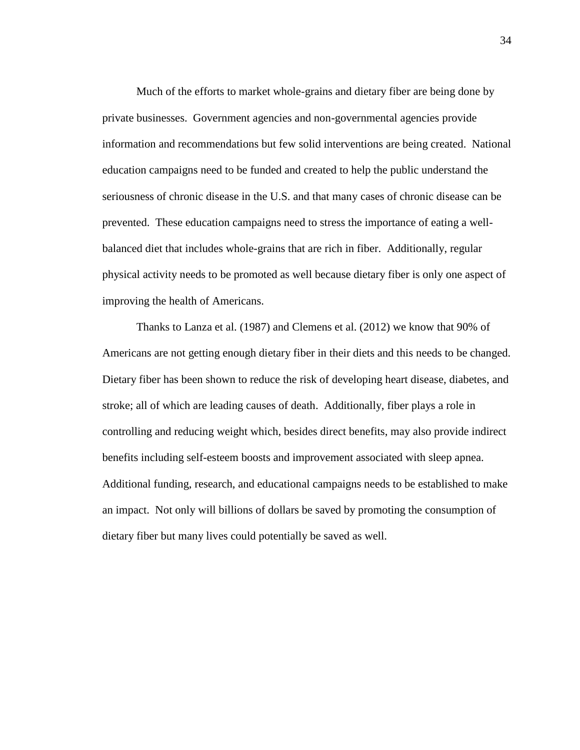Much of the efforts to market whole-grains and dietary fiber are being done by private businesses. Government agencies and non-governmental agencies provide information and recommendations but few solid interventions are being created. National education campaigns need to be funded and created to help the public understand the seriousness of chronic disease in the U.S. and that many cases of chronic disease can be prevented. These education campaigns need to stress the importance of eating a wellbalanced diet that includes whole-grains that are rich in fiber. Additionally, regular physical activity needs to be promoted as well because dietary fiber is only one aspect of improving the health of Americans.

Thanks to Lanza et al. (1987) and Clemens et al. (2012) we know that 90% of Americans are not getting enough dietary fiber in their diets and this needs to be changed. Dietary fiber has been shown to reduce the risk of developing heart disease, diabetes, and stroke; all of which are leading causes of death. Additionally, fiber plays a role in controlling and reducing weight which, besides direct benefits, may also provide indirect benefits including self-esteem boosts and improvement associated with sleep apnea. Additional funding, research, and educational campaigns needs to be established to make an impact. Not only will billions of dollars be saved by promoting the consumption of dietary fiber but many lives could potentially be saved as well.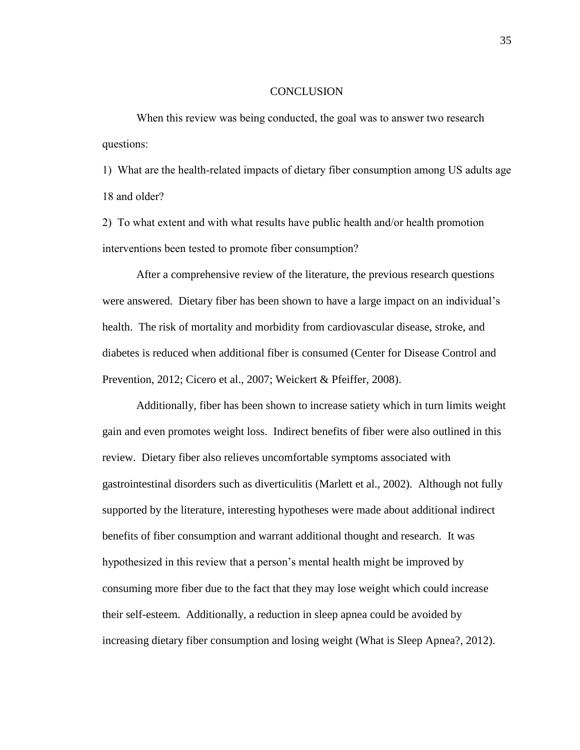#### CONCLUSION

When this review was being conducted, the goal was to answer two research questions:

1) What are the health-related impacts of dietary fiber consumption among US adults age 18 and older?

2) To what extent and with what results have public health and/or health promotion interventions been tested to promote fiber consumption?

After a comprehensive review of the literature, the previous research questions were answered. Dietary fiber has been shown to have a large impact on an individual's health. The risk of mortality and morbidity from cardiovascular disease, stroke, and diabetes is reduced when additional fiber is consumed (Center for Disease Control and Prevention, 2012; Cicero et al., 2007; Weickert & Pfeiffer, 2008).

Additionally, fiber has been shown to increase satiety which in turn limits weight gain and even promotes weight loss. Indirect benefits of fiber were also outlined in this review. Dietary fiber also relieves uncomfortable symptoms associated with gastrointestinal disorders such as diverticulitis (Marlett et al., 2002). Although not fully supported by the literature, interesting hypotheses were made about additional indirect benefits of fiber consumption and warrant additional thought and research. It was hypothesized in this review that a person's mental health might be improved by consuming more fiber due to the fact that they may lose weight which could increase their self-esteem. Additionally, a reduction in sleep apnea could be avoided by increasing dietary fiber consumption and losing weight (What is Sleep Apnea?, 2012).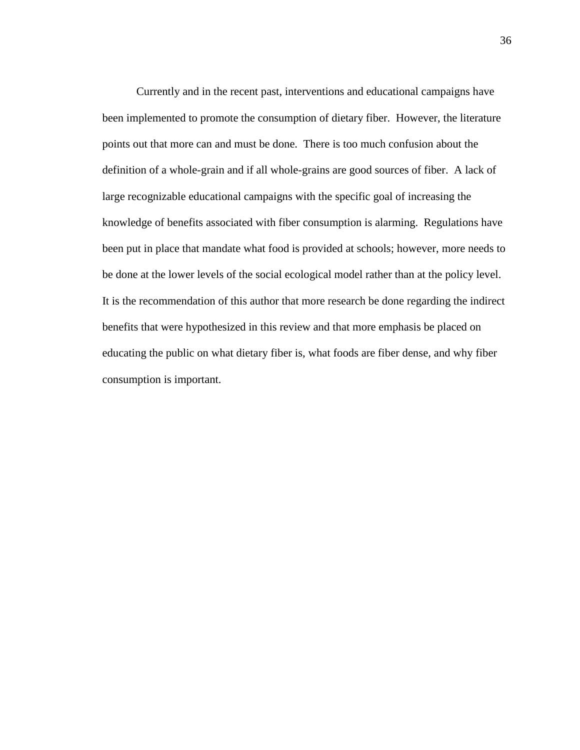Currently and in the recent past, interventions and educational campaigns have been implemented to promote the consumption of dietary fiber. However, the literature points out that more can and must be done. There is too much confusion about the definition of a whole-grain and if all whole-grains are good sources of fiber. A lack of large recognizable educational campaigns with the specific goal of increasing the knowledge of benefits associated with fiber consumption is alarming. Regulations have been put in place that mandate what food is provided at schools; however, more needs to be done at the lower levels of the social ecological model rather than at the policy level. It is the recommendation of this author that more research be done regarding the indirect benefits that were hypothesized in this review and that more emphasis be placed on educating the public on what dietary fiber is, what foods are fiber dense, and why fiber consumption is important.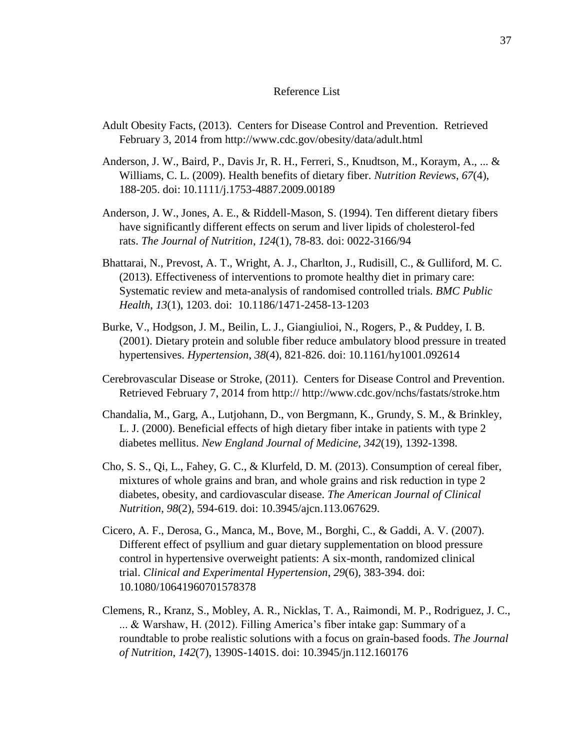# Reference List

- Adult Obesity Facts, (2013). Centers for Disease Control and Prevention. Retrieved February 3, 2014 from<http://www.cdc.gov/obesity/data/adult.html>
- Anderson, J. W., Baird, P., Davis Jr, R. H., Ferreri, S., Knudtson, M., Koraym, A., ... & Williams, C. L. (2009). Health benefits of dietary fiber. *Nutrition Reviews*, *67*(4), 188-205. doi: 10.1111/j.1753-4887.2009.00189
- Anderson, J. W., Jones, A. E., & Riddell-Mason, S. (1994). Ten different dietary fibers have significantly different effects on serum and liver lipids of cholesterol-fed rats. *The Journal of Nutrition*, *124*(1), 78-83. doi: 0022-3166/94
- Bhattarai, N., Prevost, A. T., Wright, A. J., Charlton, J., Rudisill, C., & Gulliford, M. C. (2013). Effectiveness of interventions to promote healthy diet in primary care: Systematic review and meta-analysis of randomised controlled trials. *BMC Public Health*, *13*(1), 1203. doi: 10.1186/1471-2458-13-1203
- Burke, V., Hodgson, J. M., Beilin, L. J., Giangiulioi, N., Rogers, P., & Puddey, I. B. (2001). Dietary protein and soluble fiber reduce ambulatory blood pressure in treated hypertensives. *Hypertension*, *38*(4), 821-826. doi: 10.1161/hy1001.092614
- Cerebrovascular Disease or Stroke, (2011). Centers for Disease Control and Prevention. Retrieved February 7, 2014 from http://<http://www.cdc.gov/nchs/fastats/stroke.htm>
- Chandalia, M., Garg, A., Lutjohann, D., von Bergmann, K., Grundy, S. M., & Brinkley, L. J. (2000). Beneficial effects of high dietary fiber intake in patients with type 2 diabetes mellitus. *New England Journal of Medicine*, *342*(19), 1392-1398.
- Cho, S. S., Qi, L., Fahey, G. C., & Klurfeld, D. M. (2013). Consumption of cereal fiber, mixtures of whole grains and bran, and whole grains and risk reduction in type 2 diabetes, obesity, and cardiovascular disease. *The American Journal of Clinical Nutrition*, *98*(2), 594-619. doi: 10.3945/ajcn.113.067629.
- Cicero, A. F., Derosa, G., Manca, M., Bove, M., Borghi, C., & Gaddi, A. V. (2007). Different effect of psyllium and guar dietary supplementation on blood pressure control in hypertensive overweight patients: A six-month, randomized clinical trial. *Clinical and Experimental Hypertension*, *29*(6), 383-394. doi: 10.1080/10641960701578378
- Clemens, R., Kranz, S., Mobley, A. R., Nicklas, T. A., Raimondi, M. P., Rodriguez, J. C., ... & Warshaw, H. (2012). Filling America's fiber intake gap: Summary of a roundtable to probe realistic solutions with a focus on grain-based foods. *The Journal of Nutrition*, *142*(7), 1390S-1401S. doi: 10.3945/jn.112.160176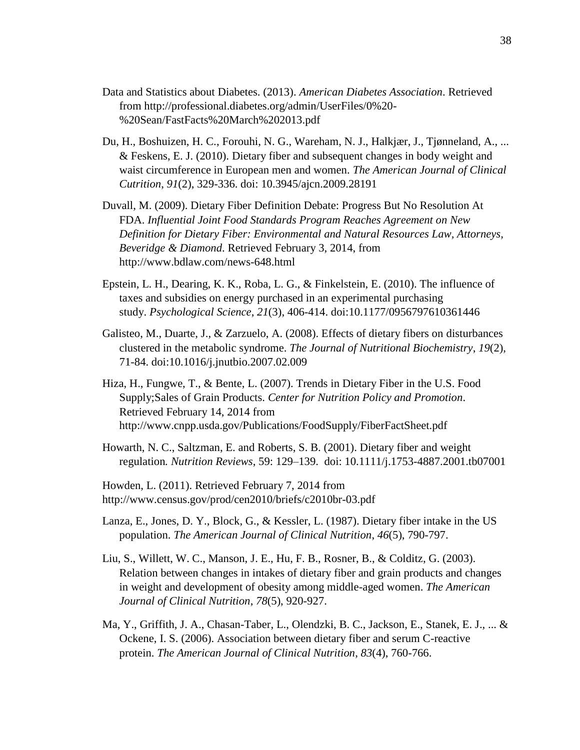- Data and Statistics about Diabetes. (2013). *American Diabetes Association*. Retrieved from http://professional.diabetes.org/admin/UserFiles/0%20- %20Sean/FastFacts%20March%202013.pdf
- Du, H., Boshuizen, H. C., Forouhi, N. G., Wareham, N. J., Halkjær, J., Tjønneland, A., ... & Feskens, E. J. (2010). Dietary fiber and subsequent changes in body weight and waist circumference in European men and women. *The American Journal of Clinical Cutrition*, *91*(2), 329-336. doi: 10.3945/ajcn.2009.28191
- Duvall, M. (2009). Dietary Fiber Definition Debate: Progress But No Resolution At FDA. *Influential Joint Food Standards Program Reaches Agreement on New Definition for Dietary Fiber: Environmental and Natural Resources Law, Attorneys, Beveridge & Diamond*. Retrieved February 3, 2014, from <http://www.bdlaw.com/news-648.html>
- Epstein, L. H., Dearing, K. K., Roba, L. G., & Finkelstein, E. (2010). The influence of taxes and subsidies on energy purchased in an experimental purchasing study. *Psychological Science*, *21*(3), 406-414. doi:10.1177/0956797610361446
- Galisteo, M., Duarte, J., & Zarzuelo, A. (2008). Effects of dietary fibers on disturbances clustered in the metabolic syndrome. *The Journal of Nutritional Biochemistry*, *19*(2), 71-84. doi:10.1016/j.jnutbio.2007.02.009
- Hiza, H., Fungwe, T., & Bente, L. (2007). Trends in Dietary Fiber in the U.S. Food Supply;Sales of Grain Products. *Center for Nutrition Policy and Promotion*. Retrieved February 14, 2014 from <http://www.cnpp.usda.gov/Publications/FoodSupply/FiberFactSheet.pdf>
- Howarth, N. C., Saltzman, E. and Roberts, S. B. (2001). Dietary fiber and weight regulation*. Nutrition Reviews*, 59: 129–139. doi: 10.1111/j.1753-4887.2001.tb07001
- Howden, L. (2011). Retrieved February 7, 2014 from <http://www.census.gov/prod/cen2010/briefs/c2010br-03.pdf>
- Lanza, E., Jones, D. Y., Block, G., & Kessler, L. (1987). Dietary fiber intake in the US population. *The American Journal of Clinical Nutrition*, *46*(5), 790-797.
- Liu, S., Willett, W. C., Manson, J. E., Hu, F. B., Rosner, B., & Colditz, G. (2003). Relation between changes in intakes of dietary fiber and grain products and changes in weight and development of obesity among middle-aged women. *The American Journal of Clinical Nutrition*, *78*(5), 920-927.
- Ma, Y., Griffith, J. A., Chasan-Taber, L., Olendzki, B. C., Jackson, E., Stanek, E. J., ... & Ockene, I. S. (2006). Association between dietary fiber and serum C-reactive protein. *The American Journal of Clinical Nutrition*, *83*(4), 760-766.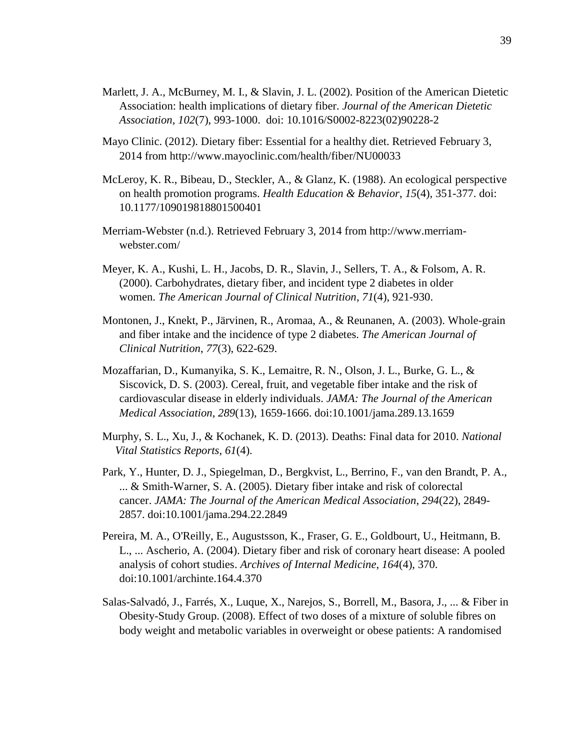- Marlett, J. A., McBurney, M. I., & Slavin, J. L. (2002). Position of the American Dietetic Association: health implications of dietary fiber. *Journal of the American Dietetic Association*, *102*(7), 993-1000. doi: 10.1016/S0002-8223(02)90228-2
- Mayo Clinic. (2012). Dietary fiber: Essential for a healthy diet. Retrieved February 3, 2014 from<http://www.mayoclinic.com/health/fiber/NU00033>
- McLeroy, K. R., Bibeau, D., Steckler, A., & Glanz, K. (1988). An ecological perspective on health promotion programs. *Health Education & Behavior*, *15*(4), 351-377. doi: 10.1177/109019818801500401
- Merriam-Webster (n.d.). Retrieved February 3, 2014 from http://www.merriamwebster.com/
- Meyer, K. A., Kushi, L. H., Jacobs, D. R., Slavin, J., Sellers, T. A., & Folsom, A. R. (2000). Carbohydrates, dietary fiber, and incident type 2 diabetes in older women. *The American Journal of Clinical Nutrition*, *71*(4), 921-930.
- Montonen, J., Knekt, P., Järvinen, R., Aromaa, A., & Reunanen, A. (2003). Whole-grain and fiber intake and the incidence of type 2 diabetes. *The American Journal of Clinical Nutrition*, *77*(3), 622-629.
- Mozaffarian, D., Kumanyika, S. K., Lemaitre, R. N., Olson, J. L., Burke, G. L., & Siscovick, D. S. (2003). Cereal, fruit, and vegetable fiber intake and the risk of cardiovascular disease in elderly individuals. *JAMA: The Journal of the American Medical Association*, *289*(13), 1659-1666. doi:10.1001/jama.289.13.1659
- Murphy, S. L., Xu, J., & Kochanek, K. D. (2013). Deaths: Final data for 2010. *National Vital Statistics Reports*, *61*(4).
- Park, Y., Hunter, D. J., Spiegelman, D., Bergkvist, L., Berrino, F., van den Brandt, P. A., ... & Smith-Warner, S. A. (2005). Dietary fiber intake and risk of colorectal cancer. *JAMA: The Journal of the American Medical Association*, *294*(22), 2849- 2857. doi:10.1001/jama.294.22.2849
- Pereira, M. A., O'Reilly, E., Augustsson, K., Fraser, G. E., Goldbourt, U., Heitmann, B. L., ... Ascherio, A. (2004). Dietary fiber and risk of coronary heart disease: A pooled analysis of cohort studies. *Archives of Internal Medicine*, *164*(4), 370. doi:10.1001/archinte.164.4.370
- Salas-Salvadó, J., Farrés, X., Luque, X., Narejos, S., Borrell, M., Basora, J., ... & Fiber in Obesity-Study Group. (2008). Effect of two doses of a mixture of soluble fibres on body weight and metabolic variables in overweight or obese patients: A randomised